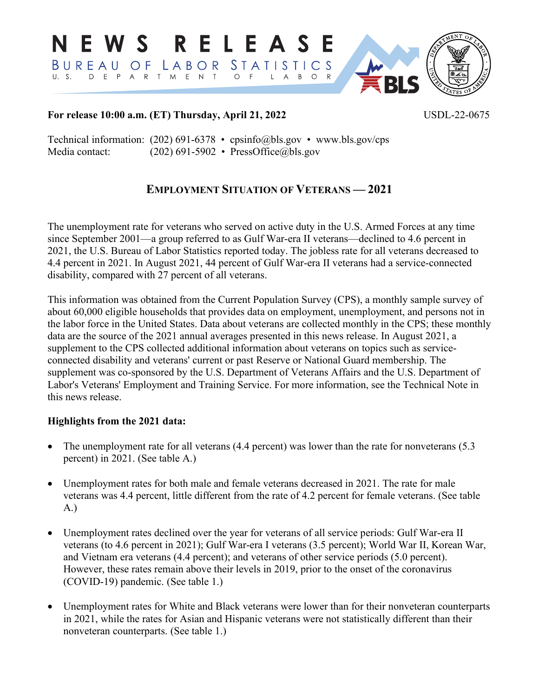N E W S R E L E A S E **STATISTICS** BUREAU  $OF$ LABOR D E P A R T M E N T  $U. S.$ O F  $L$  A **RLS** 



### **For release 10:00 a.m. (ET) Thursday, April 21, 2022** USDL-22-0675

Technical information: (202) 691-6378 • cpsinfo@bls.gov • www.bls.gov/cps Media contact: (202) 691-5902 • PressOffice@bls.gov

# **EMPLOYMENT SITUATION OF VETERANS — 2021**

The unemployment rate for veterans who served on active duty in the U.S. Armed Forces at any time since September 2001—a group referred to as Gulf War-era II veterans—declined to 4.6 percent in 2021, the U.S. Bureau of Labor Statistics reported today. The jobless rate for all veterans decreased to 4.4 percent in 2021. In August 2021, 44 percent of Gulf War-era II veterans had a service-connected disability, compared with 27 percent of all veterans.

This information was obtained from the Current Population Survey (CPS), a monthly sample survey of about 60,000 eligible households that provides data on employment, unemployment, and persons not in the labor force in the United States. Data about veterans are collected monthly in the CPS; these monthly data are the source of the 2021 annual averages presented in this news release. In August 2021, a supplement to the CPS collected additional information about veterans on topics such as serviceconnected disability and veterans' current or past Reserve or National Guard membership. The supplement was co-sponsored by the U.S. Department of Veterans Affairs and the U.S. Department of Labor's Veterans' Employment and Training Service. For more information, see the Technical Note in this news release.

# **Highlights from the 2021 data:**

- The unemployment rate for all veterans (4.4 percent) was lower than the rate for nonveterans (5.3 percent) in 2021. (See table A.)
- Unemployment rates for both male and female veterans decreased in 2021. The rate for male veterans was 4.4 percent, little different from the rate of 4.2 percent for female veterans. (See table A.)
- Unemployment rates declined over the year for veterans of all service periods: Gulf War-era II veterans (to 4.6 percent in 2021); Gulf War-era I veterans (3.5 percent); World War II, Korean War, and Vietnam era veterans (4.4 percent); and veterans of other service periods (5.0 percent). However, these rates remain above their levels in 2019, prior to the onset of the coronavirus (COVID-19) pandemic. (See table 1.)
- Unemployment rates for White and Black veterans were lower than for their nonveteran counterparts in 2021, while the rates for Asian and Hispanic veterans were not statistically different than their nonveteran counterparts. (See table 1.)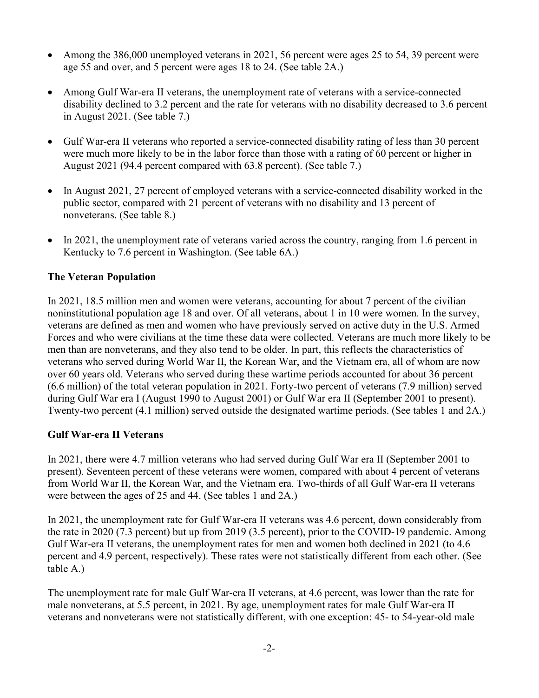- Among the 386,000 unemployed veterans in 2021, 56 percent were ages 25 to 54, 39 percent were age 55 and over, and 5 percent were ages 18 to 24. (See table 2A.)
- Among Gulf War-era II veterans, the unemployment rate of veterans with a service-connected disability declined to 3.2 percent and the rate for veterans with no disability decreased to 3.6 percent in August 2021. (See table 7.)
- Gulf War-era II veterans who reported a service-connected disability rating of less than 30 percent were much more likely to be in the labor force than those with a rating of 60 percent or higher in August 2021 (94.4 percent compared with 63.8 percent). (See table 7.)
- In August 2021, 27 percent of employed veterans with a service-connected disability worked in the public sector, compared with 21 percent of veterans with no disability and 13 percent of nonveterans. (See table 8.)
- In 2021, the unemployment rate of veterans varied across the country, ranging from 1.6 percent in Kentucky to 7.6 percent in Washington. (See table 6A.)

### **The Veteran Population**

In 2021, 18.5 million men and women were veterans, accounting for about 7 percent of the civilian noninstitutional population age 18 and over. Of all veterans, about 1 in 10 were women. In the survey, veterans are defined as men and women who have previously served on active duty in the U.S. Armed Forces and who were civilians at the time these data were collected. Veterans are much more likely to be men than are nonveterans, and they also tend to be older. In part, this reflects the characteristics of veterans who served during World War II, the Korean War, and the Vietnam era, all of whom are now over 60 years old. Veterans who served during these wartime periods accounted for about 36 percent (6.6 million) of the total veteran population in 2021. Forty-two percent of veterans (7.9 million) served during Gulf War era I (August 1990 to August 2001) or Gulf War era II (September 2001 to present). Twenty-two percent (4.1 million) served outside the designated wartime periods. (See tables 1 and 2A.)

### **Gulf War-era II Veterans**

In 2021, there were 4.7 million veterans who had served during Gulf War era II (September 2001 to present). Seventeen percent of these veterans were women, compared with about 4 percent of veterans from World War II, the Korean War, and the Vietnam era. Two-thirds of all Gulf War-era II veterans were between the ages of 25 and 44. (See tables 1 and 2A.)

In 2021, the unemployment rate for Gulf War-era II veterans was 4.6 percent, down considerably from the rate in 2020 (7.3 percent) but up from 2019 (3.5 percent), prior to the COVID-19 pandemic. Among Gulf War-era II veterans, the unemployment rates for men and women both declined in 2021 (to 4.6 percent and 4.9 percent, respectively). These rates were not statistically different from each other. (See table A.)

The unemployment rate for male Gulf War-era II veterans, at 4.6 percent, was lower than the rate for male nonveterans, at 5.5 percent, in 2021. By age, unemployment rates for male Gulf War-era II veterans and nonveterans were not statistically different, with one exception: 45- to 54-year-old male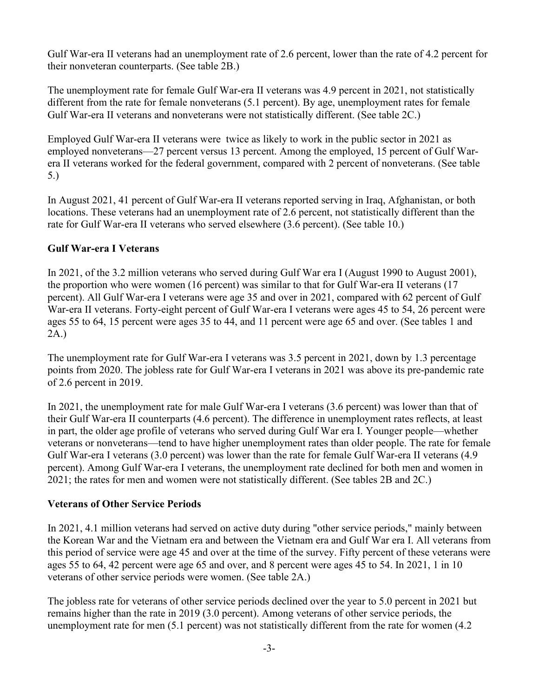Gulf War-era II veterans had an unemployment rate of 2.6 percent, lower than the rate of 4.2 percent for their nonveteran counterparts. (See table 2B.)

The unemployment rate for female Gulf War-era II veterans was 4.9 percent in 2021, not statistically different from the rate for female nonveterans (5.1 percent). By age, unemployment rates for female Gulf War-era II veterans and nonveterans were not statistically different. (See table 2C.)

Employed Gulf War-era II veterans were twice as likely to work in the public sector in 2021 as employed nonveterans—27 percent versus 13 percent. Among the employed, 15 percent of Gulf Warera II veterans worked for the federal government, compared with 2 percent of nonveterans. (See table 5.)

In August 2021, 41 percent of Gulf War-era II veterans reported serving in Iraq, Afghanistan, or both locations. These veterans had an unemployment rate of 2.6 percent, not statistically different than the rate for Gulf War-era II veterans who served elsewhere (3.6 percent). (See table 10.)

# **Gulf War-era I Veterans**

In 2021, of the 3.2 million veterans who served during Gulf War era I (August 1990 to August 2001), the proportion who were women (16 percent) was similar to that for Gulf War-era II veterans (17 percent). All Gulf War-era I veterans were age 35 and over in 2021, compared with 62 percent of Gulf War-era II veterans. Forty-eight percent of Gulf War-era I veterans were ages 45 to 54, 26 percent were ages 55 to 64, 15 percent were ages 35 to 44, and 11 percent were age 65 and over. (See tables 1 and 2A.)

The unemployment rate for Gulf War-era I veterans was 3.5 percent in 2021, down by 1.3 percentage points from 2020. The jobless rate for Gulf War-era I veterans in 2021 was above its pre-pandemic rate of 2.6 percent in 2019.

In 2021, the unemployment rate for male Gulf War-era I veterans (3.6 percent) was lower than that of their Gulf War-era II counterparts (4.6 percent). The difference in unemployment rates reflects, at least in part, the older age profile of veterans who served during Gulf War era I. Younger people—whether veterans or nonveterans—tend to have higher unemployment rates than older people. The rate for female Gulf War-era I veterans (3.0 percent) was lower than the rate for female Gulf War-era II veterans (4.9 percent). Among Gulf War-era I veterans, the unemployment rate declined for both men and women in 2021; the rates for men and women were not statistically different. (See tables 2B and 2C.)

### **Veterans of Other Service Periods**

In 2021, 4.1 million veterans had served on active duty during "other service periods," mainly between the Korean War and the Vietnam era and between the Vietnam era and Gulf War era I. All veterans from this period of service were age 45 and over at the time of the survey. Fifty percent of these veterans were ages 55 to 64, 42 percent were age 65 and over, and 8 percent were ages 45 to 54. In 2021, 1 in 10 veterans of other service periods were women. (See table 2A.)

The jobless rate for veterans of other service periods declined over the year to 5.0 percent in 2021 but remains higher than the rate in 2019 (3.0 percent). Among veterans of other service periods, the unemployment rate for men (5.1 percent) was not statistically different from the rate for women (4.2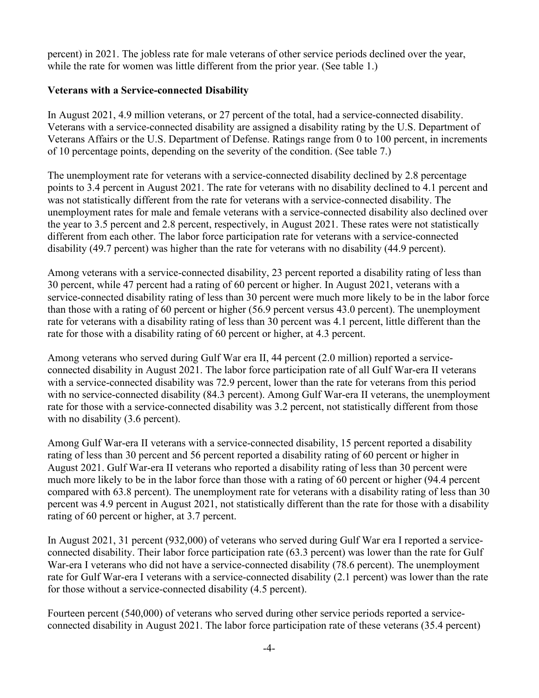percent) in 2021. The jobless rate for male veterans of other service periods declined over the year, while the rate for women was little different from the prior year. (See table 1.)

### **Veterans with a Service-connected Disability**

In August 2021, 4.9 million veterans, or 27 percent of the total, had a service-connected disability. Veterans with a service-connected disability are assigned a disability rating by the U.S. Department of Veterans Affairs or the U.S. Department of Defense. Ratings range from 0 to 100 percent, in increments of 10 percentage points, depending on the severity of the condition. (See table 7.)

The unemployment rate for veterans with a service-connected disability declined by 2.8 percentage points to 3.4 percent in August 2021. The rate for veterans with no disability declined to 4.1 percent and was not statistically different from the rate for veterans with a service-connected disability. The unemployment rates for male and female veterans with a service-connected disability also declined over the year to 3.5 percent and 2.8 percent, respectively, in August 2021. These rates were not statistically different from each other. The labor force participation rate for veterans with a service-connected disability (49.7 percent) was higher than the rate for veterans with no disability (44.9 percent).

Among veterans with a service-connected disability, 23 percent reported a disability rating of less than 30 percent, while 47 percent had a rating of 60 percent or higher. In August 2021, veterans with a service-connected disability rating of less than 30 percent were much more likely to be in the labor force than those with a rating of 60 percent or higher (56.9 percent versus 43.0 percent). The unemployment rate for veterans with a disability rating of less than 30 percent was 4.1 percent, little different than the rate for those with a disability rating of 60 percent or higher, at 4.3 percent.

Among veterans who served during Gulf War era II, 44 percent (2.0 million) reported a serviceconnected disability in August 2021. The labor force participation rate of all Gulf War-era II veterans with a service-connected disability was 72.9 percent, lower than the rate for veterans from this period with no service-connected disability (84.3 percent). Among Gulf War-era II veterans, the unemployment rate for those with a service-connected disability was 3.2 percent, not statistically different from those with no disability (3.6 percent).

Among Gulf War-era II veterans with a service-connected disability, 15 percent reported a disability rating of less than 30 percent and 56 percent reported a disability rating of 60 percent or higher in August 2021. Gulf War-era II veterans who reported a disability rating of less than 30 percent were much more likely to be in the labor force than those with a rating of 60 percent or higher (94.4 percent compared with 63.8 percent). The unemployment rate for veterans with a disability rating of less than 30 percent was 4.9 percent in August 2021, not statistically different than the rate for those with a disability rating of 60 percent or higher, at 3.7 percent.

In August 2021, 31 percent (932,000) of veterans who served during Gulf War era I reported a serviceconnected disability. Their labor force participation rate (63.3 percent) was lower than the rate for Gulf War-era I veterans who did not have a service-connected disability (78.6 percent). The unemployment rate for Gulf War-era I veterans with a service-connected disability (2.1 percent) was lower than the rate for those without a service-connected disability (4.5 percent).

Fourteen percent (540,000) of veterans who served during other service periods reported a serviceconnected disability in August 2021. The labor force participation rate of these veterans (35.4 percent)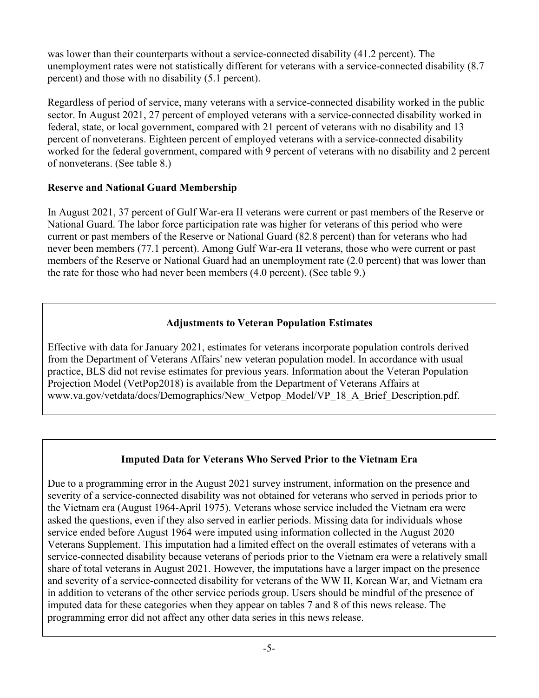was lower than their counterparts without a service-connected disability (41.2 percent). The unemployment rates were not statistically different for veterans with a service-connected disability (8.7 percent) and those with no disability (5.1 percent).

Regardless of period of service, many veterans with a service-connected disability worked in the public sector. In August 2021, 27 percent of employed veterans with a service-connected disability worked in federal, state, or local government, compared with 21 percent of veterans with no disability and 13 percent of nonveterans. Eighteen percent of employed veterans with a service-connected disability worked for the federal government, compared with 9 percent of veterans with no disability and 2 percent of nonveterans. (See table 8.)

# **Reserve and National Guard Membership**

In August 2021, 37 percent of Gulf War-era II veterans were current or past members of the Reserve or National Guard. The labor force participation rate was higher for veterans of this period who were current or past members of the Reserve or National Guard (82.8 percent) than for veterans who had never been members (77.1 percent). Among Gulf War-era II veterans, those who were current or past members of the Reserve or National Guard had an unemployment rate (2.0 percent) that was lower than the rate for those who had never been members (4.0 percent). (See table 9.)

# **Adjustments to Veteran Population Estimates**

Effective with data for January 2021, estimates for veterans incorporate population controls derived from the Department of Veterans Affairs' new veteran population model. In accordance with usual practice, BLS did not revise estimates for previous years. Information about the Veteran Population Projection Model (VetPop2018) is available from the Department of Veterans Affairs at www.va.gov/vetdata/docs/Demographics/New\_Vetpop\_Model/VP\_18\_A\_Brief\_Description.pdf.

# **Imputed Data for Veterans Who Served Prior to the Vietnam Era**

Due to a programming error in the August 2021 survey instrument, information on the presence and severity of a service-connected disability was not obtained for veterans who served in periods prior to the Vietnam era (August 1964-April 1975). Veterans whose service included the Vietnam era were asked the questions, even if they also served in earlier periods. Missing data for individuals whose service ended before August 1964 were imputed using information collected in the August 2020 Veterans Supplement. This imputation had a limited effect on the overall estimates of veterans with a service-connected disability because veterans of periods prior to the Vietnam era were a relatively small share of total veterans in August 2021. However, the imputations have a larger impact on the presence and severity of a service-connected disability for veterans of the WW II, Korean War, and Vietnam era in addition to veterans of the other service periods group. Users should be mindful of the presence of imputed data for these categories when they appear on tables 7 and 8 of this news release. The programming error did not affect any other data series in this news release.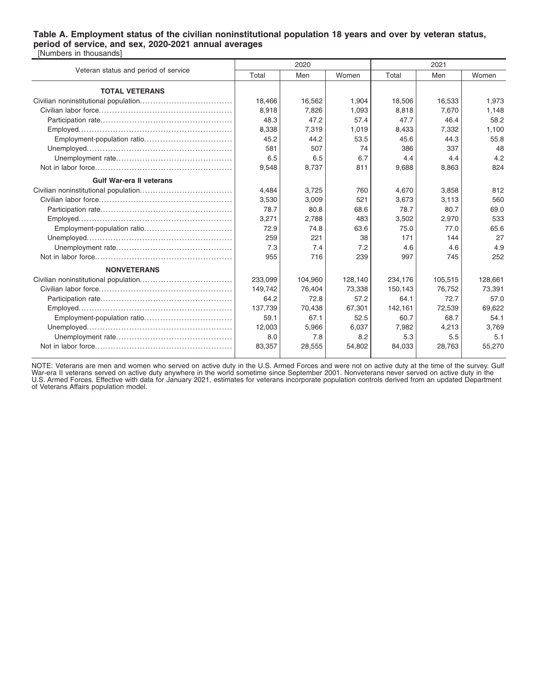### **Table A. Employment status of the civilian noninstitutional population 18 years and over by veteran status, period of service, and sex, 2020-2021 annual averages**

[Numbers in thousands]

|                                      |         | 2020    |         | 2021    |         |         |  |  |
|--------------------------------------|---------|---------|---------|---------|---------|---------|--|--|
| Veteran status and period of service | Total   | Men     | Women   | Total   | Men     | Women   |  |  |
| <b>TOTAL VETERANS</b>                |         |         |         |         |         |         |  |  |
|                                      | 18,466  | 16,562  | 1,904   | 18,506  | 16,533  | 1,973   |  |  |
|                                      | 8,918   | 7.826   | 1,093   | 8,818   | 7,670   | 1,148   |  |  |
|                                      | 48.3    | 47.2    | 57.4    | 47.7    | 46.4    | 58.2    |  |  |
|                                      | 8,338   | 7,319   | 1,019   | 8,433   | 7,332   | 1,100   |  |  |
|                                      | 45.2    | 44.2    | 53.5    | 45.6    | 44.3    | 55.8    |  |  |
|                                      | 581     | 507     | 74      | 386     | 337     | 48      |  |  |
|                                      | 6.5     | 6.5     | 6.7     | 4.4     | 4.4     | 4.2     |  |  |
|                                      | 9,548   | 8,737   | 811     | 9,688   | 8,863   | 824     |  |  |
| <b>Gulf War-era II veterans</b>      |         |         |         |         |         |         |  |  |
|                                      | 4.484   | 3,725   | 760     | 4,670   | 3,858   | 812     |  |  |
|                                      | 3,530   | 3,009   | 521     | 3,673   | 3,113   | 560     |  |  |
|                                      | 78.7    | 80.8    | 68.6    | 78.7    | 80.7    | 69.0    |  |  |
|                                      | 3,271   | 2,788   | 483     | 3,502   | 2,970   | 533     |  |  |
|                                      | 72.9    | 74.8    | 63.6    | 75.0    | 77.0    | 65.6    |  |  |
|                                      | 259     | 221     | 38      | 171     | 144     | 27      |  |  |
|                                      | 7.3     | 7.4     | 7.2     | 4.6     | 4.6     | 4.9     |  |  |
|                                      | 955     | 716     | 239     | 997     | 745     | 252     |  |  |
| <b>NONVETERANS</b>                   |         |         |         |         |         |         |  |  |
|                                      | 233.099 | 104,960 | 128.140 | 234,176 | 105,515 | 128,661 |  |  |
|                                      | 149.742 | 76,404  | 73,338  | 150,143 | 76,752  | 73,391  |  |  |
|                                      | 64.2    | 72.8    | 57.2    | 64.1    | 72.7    | 57.0    |  |  |
|                                      | 137,739 | 70,438  | 67,301  | 142,161 | 72,539  | 69.622  |  |  |
|                                      | 59.1    | 67.1    | 52.5    | 60.7    | 68.7    | 54.1    |  |  |
|                                      | 12.003  | 5,966   | 6,037   | 7,982   | 4,213   | 3,769   |  |  |
|                                      | 8.0     | 7.8     | 8.2     | 5.3     | 5.5     | 5.1     |  |  |
|                                      | 83,357  | 28,555  | 54,802  | 84,033  | 28,763  | 55,270  |  |  |

NOTE: Veterans are men and women who served on active duty in the U.S. Armed Forces and were not on active duty at the time of the survey. Gulf<br>War-era II veterans served on active duty anywhere in the world sometime since of Veterans Affairs population model.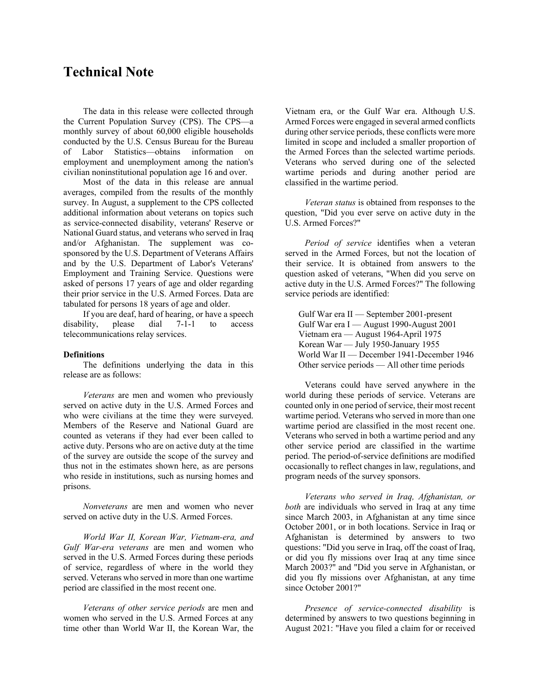# **Technical Note**

The data in this release were collected through the Current Population Survey (CPS). The CPS—a monthly survey of about 60,000 eligible households conducted by the U.S. Census Bureau for the Bureau of Labor Statistics—obtains information on employment and unemployment among the nation's civilian noninstitutional population age 16 and over.

Most of the data in this release are annual averages, compiled from the results of the monthly survey. In August, a supplement to the CPS collected additional information about veterans on topics such as service-connected disability, veterans' Reserve or National Guard status, and veterans who served in Iraq and/or Afghanistan. The supplement was cosponsored by the U.S. Department of Veterans Affairs and by the U.S. Department of Labor's Veterans' Employment and Training Service. Questions were asked of persons 17 years of age and older regarding their prior service in the U.S. Armed Forces. Data are tabulated for persons 18 years of age and older.

If you are deaf, hard of hearing, or have a speech disability, please dial 7-1-1 to access telecommunications relay services.

#### **Definitions**

The definitions underlying the data in this release are as follows:

*Veterans* are men and women who previously served on active duty in the U.S. Armed Forces and who were civilians at the time they were surveyed. Members of the Reserve and National Guard are counted as veterans if they had ever been called to active duty. Persons who are on active duty at the time of the survey are outside the scope of the survey and thus not in the estimates shown here, as are persons who reside in institutions, such as nursing homes and prisons.

*Nonveterans* are men and women who never served on active duty in the U.S. Armed Forces.

*World War II, Korean War, Vietnam-era, and Gulf War-era veterans* are men and women who served in the U.S. Armed Forces during these periods of service, regardless of where in the world they served. Veterans who served in more than one wartime period are classified in the most recent one.

*Veterans of other service periods* are men and women who served in the U.S. Armed Forces at any time other than World War II, the Korean War, the Vietnam era, or the Gulf War era. Although U.S. Armed Forces were engaged in several armed conflicts during other service periods, these conflicts were more limited in scope and included a smaller proportion of the Armed Forces than the selected wartime periods. Veterans who served during one of the selected wartime periods and during another period are classified in the wartime period.

*Veteran status* is obtained from responses to the question, "Did you ever serve on active duty in the U.S. Armed Forces?"

*Period of service* identifies when a veteran served in the Armed Forces, but not the location of their service. It is obtained from answers to the question asked of veterans, "When did you serve on active duty in the U.S. Armed Forces?" The following service periods are identified:

Gulf War era II — September 2001-present Gulf War era I — August 1990-August 2001 Vietnam era — August 1964-April 1975 Korean War — July 1950-January 1955 World War II — December 1941-December 1946 Other service periods — All other time periods

Veterans could have served anywhere in the world during these periods of service. Veterans are counted only in one period of service, their most recent wartime period. Veterans who served in more than one wartime period are classified in the most recent one. Veterans who served in both a wartime period and any other service period are classified in the wartime period. The period-of-service definitions are modified occasionally to reflect changes in law, regulations, and program needs of the survey sponsors.

*Veterans who served in Iraq, Afghanistan, or both* are individuals who served in Iraq at any time since March 2003, in Afghanistan at any time since October 2001, or in both locations. Service in Iraq or Afghanistan is determined by answers to two questions: "Did you serve in Iraq, off the coast of Iraq, or did you fly missions over Iraq at any time since March 2003?" and "Did you serve in Afghanistan, or did you fly missions over Afghanistan, at any time since October 2001?"

*Presence of service-connected disability* is determined by answers to two questions beginning in August 2021: "Have you filed a claim for or received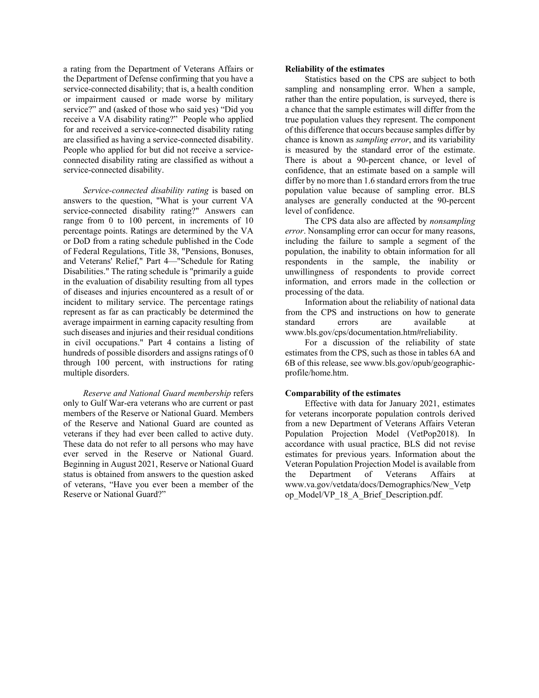a rating from the Department of Veterans Affairs or the Department of Defense confirming that you have a service-connected disability; that is, a health condition or impairment caused or made worse by military service?" and (asked of those who said yes) "Did you receive a VA disability rating?" People who applied for and received a service-connected disability rating are classified as having a service-connected disability. People who applied for but did not receive a serviceconnected disability rating are classified as without a service-connected disability.

*Service-connected disability rating* is based on answers to the question, "What is your current VA service-connected disability rating?" Answers can range from 0 to 100 percent, in increments of 10 percentage points. Ratings are determined by the VA or DoD from a rating schedule published in the Code of Federal Regulations, Title 38, "Pensions, Bonuses, and Veterans' Relief," Part 4—"Schedule for Rating Disabilities." The rating schedule is "primarily a guide in the evaluation of disability resulting from all types of diseases and injuries encountered as a result of or incident to military service. The percentage ratings represent as far as can practicably be determined the average impairment in earning capacity resulting from such diseases and injuries and their residual conditions in civil occupations." Part 4 contains a listing of hundreds of possible disorders and assigns ratings of 0 through 100 percent, with instructions for rating multiple disorders.

*Reserve and National Guard membership* refers only to Gulf War-era veterans who are current or past members of the Reserve or National Guard. Members of the Reserve and National Guard are counted as veterans if they had ever been called to active duty. These data do not refer to all persons who may have ever served in the Reserve or National Guard. Beginning in August 2021, Reserve or National Guard status is obtained from answers to the question asked of veterans, "Have you ever been a member of the Reserve or National Guard?"

#### **Reliability of the estimates**

Statistics based on the CPS are subject to both sampling and nonsampling error. When a sample, rather than the entire population, is surveyed, there is a chance that the sample estimates will differ from the true population values they represent. The component of this difference that occurs because samples differ by chance is known as *sampling error*, and its variability is measured by the standard error of the estimate. There is about a 90-percent chance, or level of confidence, that an estimate based on a sample will differ by no more than 1.6 standard errors from the true population value because of sampling error. BLS analyses are generally conducted at the 90-percent level of confidence.

The CPS data also are affected by *nonsampling error*. Nonsampling error can occur for many reasons, including the failure to sample a segment of the population, the inability to obtain information for all respondents in the sample, the inability or unwillingness of respondents to provide correct information, and errors made in the collection or processing of the data.

Information about the reliability of national data from the CPS and instructions on how to generate standard errors are available at [www.bls.gov/cps/documentation.htm#reliability.](https://www.bls.gov/cps/documentation.htm#reliability)

For a discussion of the reliability of state estimates from the CPS, such as those in tables 6A and 6B of this release, se[e www.bls.gov/opub/geographic](https://www.bls.gov/opub/geographic-profile/home.htm)[profile/home.htm.](https://www.bls.gov/opub/geographic-profile/home.htm)

#### **Comparability of the estimates**

Effective with data for January 2021, estimates for veterans incorporate population controls derived from a new Department of Veterans Affairs Veteran Population Projection Model (VetPop2018). In accordance with usual practice, BLS did not revise estimates for previous years. Information about the Veteran Population Projection Model is available from the Department of Veterans Affairs at [www.va.gov/vetdata/docs/Demographics/New\\_Vetp](https://www.va.gov/vetdata/docs/Demographics/New_Vetpop_Model/VP_18_A_Brief_Description.pdf) [op\\_Model/VP\\_18\\_A\\_Brief\\_Description.pdf.](https://www.va.gov/vetdata/docs/Demographics/New_Vetpop_Model/VP_18_A_Brief_Description.pdf)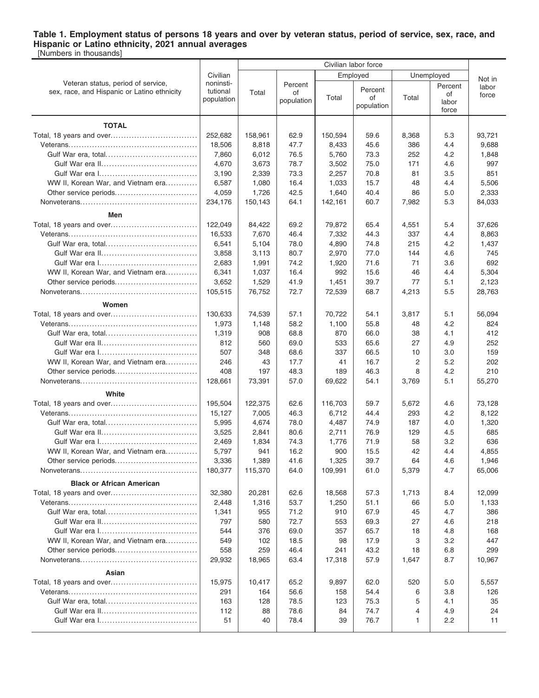#### **Table 1. Employment status of persons 18 years and over by veteran status, period of service, sex, race, and Hispanic or Latino ethnicity, 2021 annual averages** [Numbers in thousands]

|                                             |            | Civilian labor force |            |         |               |            |         |                 |  |
|---------------------------------------------|------------|----------------------|------------|---------|---------------|------------|---------|-----------------|--|
|                                             | Civilian   |                      |            |         | Employed      | Unemployed |         |                 |  |
| Veteran status, period of service,          | noninsti-  |                      | Percent    |         |               |            | Percent | Not in<br>labor |  |
| sex, race, and Hispanic or Latino ethnicity | tutional   | Total                | οf         | Total   | Percent<br>of | Total      | of      | force           |  |
|                                             | population |                      | population |         | population    |            | labor   |                 |  |
|                                             |            |                      |            |         |               |            | force   |                 |  |
| <b>TOTAL</b>                                |            |                      |            |         |               |            |         |                 |  |
|                                             | 252,682    | 158,961              | 62.9       | 150,594 | 59.6          | 8,368      | 5.3     | 93,721          |  |
|                                             | 18,506     | 8,818                | 47.7       | 8,433   | 45.6          | 386        | 4.4     | 9,688           |  |
|                                             | 7,860      | 6,012                | 76.5       | 5,760   | 73.3          | 252        | 4.2     | 1,848           |  |
|                                             | 4,670      | 3,673                | 78.7       | 3,502   | 75.0          | 171        | 4.6     | 997             |  |
|                                             | 3,190      | 2,339                | 73.3       | 2,257   | 70.8          | 81         | 3.5     | 851             |  |
| WW II, Korean War, and Vietnam era          | 6,587      | 1,080                | 16.4       | 1,033   | 15.7          | 48         | 4.4     | 5,506           |  |
|                                             | 4,059      | 1,726                | 42.5       | 1,640   | 40.4          | 86         | 5.0     | 2,333           |  |
|                                             | 234,176    | 150,143              | 64.1       | 142,161 | 60.7          | 7,982      | 5.3     | 84,033          |  |
|                                             |            |                      |            |         |               |            |         |                 |  |
| Men                                         |            |                      |            |         |               |            |         |                 |  |
|                                             | 122,049    | 84,422               | 69.2       | 79,872  | 65.4          | 4,551      | 5.4     | 37,626          |  |
|                                             | 16,533     | 7,670                | 46.4       | 7,332   | 44.3          | 337        | 4.4     | 8,863           |  |
|                                             | 6,541      | 5,104                | 78.0       | 4,890   | 74.8          | 215        | 4.2     | 1,437           |  |
|                                             | 3,858      | 3,113                | 80.7       | 2,970   | 77.0          | 144        | 4.6     | 745             |  |
|                                             | 2,683      | 1,991                | 74.2       | 1,920   | 71.6          | 71         | 3.6     | 692             |  |
| WW II, Korean War, and Vietnam era          | 6,341      | 1,037                | 16.4       | 992     | 15.6          | 46         | 4.4     | 5,304           |  |
| Other service periods                       | 3,652      | 1,529                | 41.9       | 1,451   | 39.7          | 77         | 5.1     | 2,123           |  |
|                                             | 105,515    | 76,752               | 72.7       | 72,539  | 68.7          | 4,213      | 5.5     | 28,763          |  |
| Women                                       |            |                      |            |         |               |            |         |                 |  |
|                                             | 130,633    | 74,539               | 57.1       | 70,722  | 54.1          | 3,817      | 5.1     | 56,094          |  |
|                                             | 1,973      | 1,148                | 58.2       | 1,100   | 55.8          | 48         | 4.2     | 824             |  |
|                                             | 1,319      | 908                  | 68.8       | 870     | 66.0          | 38         | 4.1     | 412             |  |
|                                             | 812        | 560                  | 69.0       | 533     | 65.6          | 27         | 4.9     | 252             |  |
|                                             | 507        | 348                  | 68.6       | 337     | 66.5          | 10         | 3.0     | 159             |  |
| WW II, Korean War, and Vietnam era          | 246        | 43                   | 17.7       | 41      | 16.7          | 2          | 5.2     | 202             |  |
| Other service periods                       | 408        | 197                  | 48.3       | 189     | 46.3          | 8          | 4.2     | 210             |  |
|                                             | 128,661    | 73,391               | 57.0       | 69,622  | 54.1          | 3,769      | 5.1     | 55,270          |  |
| White                                       |            |                      |            |         |               |            |         |                 |  |
|                                             | 195,504    | 122,375              | 62.6       | 116,703 | 59.7          | 5,672      | 4.6     | 73,128          |  |
|                                             | 15,127     | 7,005                | 46.3       | 6,712   | 44.4          | 293        | 4.2     | 8,122           |  |
|                                             | 5,995      | 4,674                | 78.0       | 4,487   | 74.9          | 187        | 4.0     | 1,320           |  |
|                                             | 3,525      | 2,841                | 80.6       | 2,711   | 76.9          | 129        | 4.5     | 685             |  |
|                                             | 2,469      | 1,834                | 74.3       | 1,776   | 71.9          | 58         | 3.2     | 636             |  |
| WW II, Korean War, and Vietnam era          | 5,797      | 941                  | 16.2       | 900     | 15.5          | 42         | 4.4     | 4,855           |  |
| Other service periods                       | 3,336      | 1,389                | 41.6       | 1,325   | 39.7          | 64         | 4.6     | 1,946           |  |
|                                             | 180,377    | 115,370              | 64.0       | 109,991 | 61.0          | 5,379      | 4.7     | 65,006          |  |
| <b>Black or African American</b>            |            |                      |            |         |               |            |         |                 |  |
|                                             | 32,380     | 20,281               | 62.6       | 18,568  | 57.3          | 1,713      | 8.4     | 12,099          |  |
|                                             | 2,448      | 1,316                | 53.7       | 1,250   | 51.1          | 66         | 5.0     | 1,133           |  |
|                                             | 1,341      | 955                  | 71.2       | 910     | 67.9          | 45         | 4.7     | 386             |  |
|                                             | 797        | 580                  | 72.7       | 553     | 69.3          | 27         | 4.6     | 218             |  |
|                                             | 544        | 376                  | 69.0       | 357     | 65.7          | 18         | 4.8     | 168             |  |
| WW II, Korean War, and Vietnam era          | 549        | 102                  | 18.5       | 98      | 17.9          | 3          | 3.2     | 447             |  |
| Other service periods                       | 558        | 259                  | 46.4       | 241     | 43.2          | 18         | 6.8     | 299             |  |
|                                             | 29,932     | 18,965               | 63.4       | 17,318  | 57.9          | 1,647      | 8.7     | 10,967          |  |
|                                             |            |                      |            |         |               |            |         |                 |  |
| Asian                                       |            |                      |            |         |               |            |         |                 |  |
|                                             | 15,975     | 10,417               | 65.2       | 9,897   | 62.0          | 520        | 5.0     | 5,557           |  |
|                                             | 291        | 164                  | 56.6       | 158     | 54.4          | 6          | 3.8     | 126             |  |
|                                             | 163        | 128                  | 78.5       | 123     | 75.3          | 5          | 4.1     | 35              |  |
|                                             | 112        | 88<br>40             | 78.6       | 84      | 74.7          | 4<br>1     | 4.9     | 24              |  |
|                                             | 51         |                      | 78.4       | 39      | 76.7          |            | 2.2     | 11              |  |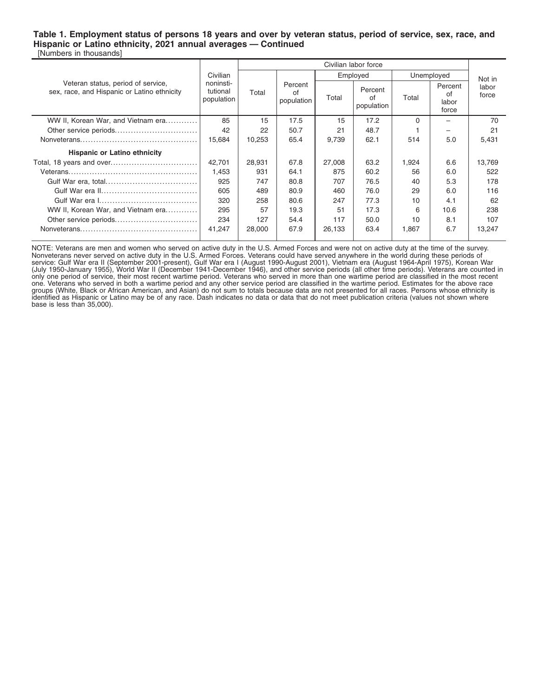#### **Table 1. Employment status of persons 18 years and over by veteran status, period of service, sex, race, and Hispanic or Latino ethnicity, 2021 annual averages — Continued** [Numbers in thousands]

|                                                                                   |                                     |        |                             |        | Civilian labor force        |       |                                 |                |
|-----------------------------------------------------------------------------------|-------------------------------------|--------|-----------------------------|--------|-----------------------------|-------|---------------------------------|----------------|
|                                                                                   | Civilian                            |        |                             |        | Employed                    |       | Unemployed                      | Not in         |
| Veteran status, period of service,<br>sex, race, and Hispanic or Latino ethnicity | noninsti-<br>tutional<br>population | Total  | Percent<br>οf<br>population | Total  | Percent<br>Ωf<br>population | Total | Percent<br>οf<br>labor<br>force | labor<br>force |
| WW II, Korean War, and Vietnam era                                                | 85                                  | 15     | 17.5                        | 15     | 17.2                        | 0     |                                 | 70             |
|                                                                                   | 42                                  | 22     | 50.7                        | 21     | 48.7                        |       |                                 | 21             |
|                                                                                   | 15,684                              | 10,253 | 65.4                        | 9,739  | 62.1                        | 514   | 5.0                             | 5,431          |
| <b>Hispanic or Latino ethnicity</b>                                               |                                     |        |                             |        |                             |       |                                 |                |
|                                                                                   | 42.701                              | 28,931 | 67.8                        | 27,008 | 63.2                        | 1,924 | 6.6                             | 13.769         |
|                                                                                   | 1,453                               | 931    | 64.1                        | 875    | 60.2                        | 56    | 6.0                             | 522            |
|                                                                                   | 925                                 | 747    | 80.8                        | 707    | 76.5                        | 40    | 5.3                             | 178            |
|                                                                                   | 605                                 | 489    | 80.9                        | 460    | 76.0                        | 29    | 6.0                             | 116            |
|                                                                                   | 320                                 | 258    | 80.6                        | 247    | 77.3                        | 10    | 4.1                             | 62             |
| WW II, Korean War, and Vietnam era                                                | 295                                 | 57     | 19.3                        | 51     | 17.3                        | 6     | 10.6                            | 238            |
| Other service periods                                                             | 234                                 | 127    | 54.4                        | 117    | 50.0                        | 10    | 8.1                             | 107            |
|                                                                                   | 41.247                              | 28,000 | 67.9                        | 26,133 | 63.4                        | 1.867 | 6.7                             | 13.247         |

NOTE: Veterans are men and women who served on active duty in the U.S. Armed Forces and were not on active duty at the time of the survey. Nonveterans never served on active duty in the U.S. Armed Forces. Veterans could have served anywhere in the world during these periods of service: Gulf War era II (September 2001-present), Gulf War era I (August 1990-August 2001), Vietnam era (August 1964-April 1975), Korean War<br>(July 1950-January 1955), World War II (December 1941-December 1946), and other only one period of service, their most recent wartime period. Veterans who served in more than one wartime period are classified in the most recent one. Veterans who served in both a wartime period and any other service period are classified in the wartime period. Estimates for the above race<br>groups (White, Black or African American, and Asian) do not sum to totals be base is less than 35,000).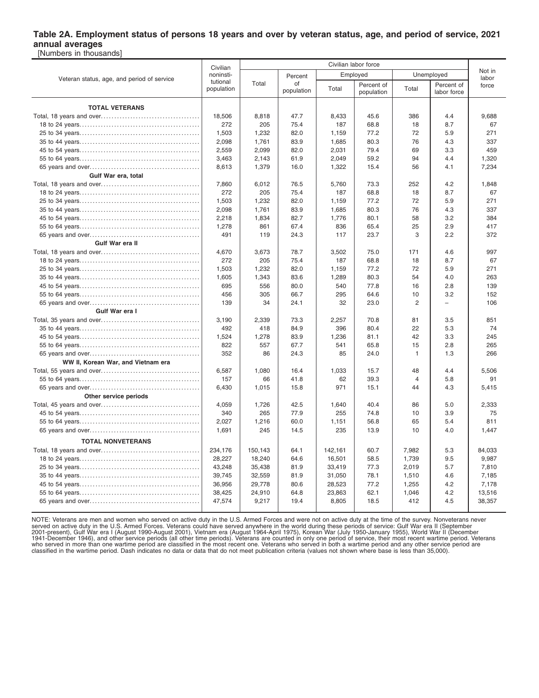#### **Table 2A. Employment status of persons 18 years and over by veteran status, age, and period of service, 2021 annual averages** [Numbers in thousands]

|                                            | Civilian               |         |                  |         | Civilian labor force     |              |                           |                 |
|--------------------------------------------|------------------------|---------|------------------|---------|--------------------------|--------------|---------------------------|-----------------|
|                                            | noninsti-              |         | Percent          |         | Employed                 |              | Unemployed                | Not in<br>labor |
| Veteran status, age, and period of service | tutional<br>population | Total   | οf<br>population | Total   | Percent of<br>population | Total        | Percent of<br>labor force | force           |
| <b>TOTAL VETERANS</b>                      |                        |         |                  |         |                          |              |                           |                 |
|                                            | 18,506                 | 8,818   | 47.7             | 8,433   | 45.6                     | 386          | 4.4                       | 9.688           |
|                                            | 272                    | 205     | 75.4             | 187     | 68.8                     | 18           | 8.7                       | 67              |
|                                            | 1,503                  | 1,232   | 82.0             | 1,159   | 77.2                     | 72           | 5.9                       | 271             |
|                                            | 2,098                  | 1,761   | 83.9             | 1,685   | 80.3                     | 76           | 4.3                       | 337             |
|                                            | 2,559                  | 2,099   | 82.0             | 2,031   | 79.4                     | 69           | 3.3                       | 459             |
|                                            | 3,463                  | 2,143   | 61.9             | 2,049   | 59.2                     | 94           | 4.4                       | 1,320           |
|                                            | 8,613                  | 1,379   | 16.0             | 1,322   | 15.4                     | 56           | 4.1                       | 7,234           |
| Gulf War era, total                        |                        |         |                  |         |                          |              |                           |                 |
|                                            | 7,860                  | 6,012   | 76.5             | 5,760   | 73.3                     | 252          | 4.2                       | 1,848           |
|                                            | 272                    | 205     | 75.4             | 187     | 68.8                     | 18           | 8.7                       | 67              |
|                                            | 1,503                  | 1,232   | 82.0             | 1,159   | 77.2                     | 72           | 5.9                       | 271             |
|                                            | 2,098                  | 1,761   | 83.9             | 1,685   | 80.3                     | 76           | 4.3                       | 337             |
|                                            | 2,218                  | 1,834   | 82.7             | 1,776   | 80.1                     | 58           | 3.2                       | 384             |
|                                            | 1,278                  | 861     | 67.4             | 836     | 65.4                     | 25           | 2.9                       | 417             |
|                                            | 491                    | 119     | 24.3             | 117     | 23.7                     | 3            | 2.2                       | 372             |
| Gulf War era II                            |                        |         |                  |         |                          |              |                           |                 |
|                                            | 4,670                  | 3,673   | 78.7             | 3,502   | 75.0                     | 171          | 4.6                       | 997             |
|                                            | 272                    | 205     | 75.4             | 187     | 68.8                     | 18           | 8.7                       | 67              |
|                                            | 1,503                  | 1,232   | 82.0             | 1,159   | 77.2                     | 72           | 5.9                       | 271             |
|                                            | 1,605                  | 1,343   | 83.6             | 1,289   | 80.3                     | 54           | 4.0                       | 263             |
|                                            | 695                    | 556     | 80.0             | 540     | 77.8                     | 16           | 2.8                       | 139             |
|                                            | 456                    | 305     | 66.7             | 295     | 64.6                     | 10           | 3.2                       | 152             |
|                                            | 139                    | 34      | 24.1             | 32      | 23.0                     | 2            | $\equiv$                  | 106             |
| Gulf War era I                             |                        |         |                  |         |                          |              |                           |                 |
|                                            | 3,190                  | 2,339   | 73.3             | 2,257   | 70.8                     | 81           | 3.5                       | 851             |
|                                            | 492                    | 418     | 84.9             | 396     | 80.4                     | 22           | 5.3                       | 74              |
|                                            | 1,524                  | 1,278   | 83.9             | 1,236   | 81.1                     | 42           | 3.3                       | 245             |
|                                            | 822                    | 557     | 67.7             | 541     | 65.8                     | 15           | 2.8                       | 265             |
|                                            | 352                    | 86      | 24.3             | 85      | 24.0                     | $\mathbf{1}$ | 1.3                       | 266             |
| WW II, Korean War, and Vietnam era         |                        |         |                  |         |                          |              |                           |                 |
|                                            | 6,587                  | 1,080   | 16.4             | 1,033   | 15.7                     | 48           | 4.4                       | 5,506           |
|                                            | 157                    | 66      | 41.8             | 62      | 39.3                     | 4            | 5.8                       | 91              |
|                                            | 6,430                  | 1,015   | 15.8             | 971     | 15.1                     | 44           | 4.3                       | 5,415           |
| Other service periods                      |                        |         |                  |         |                          |              |                           |                 |
|                                            | 4,059                  | 1,726   | 42.5             | 1,640   | 40.4                     | 86           | 5.0                       | 2,333           |
|                                            | 340                    | 265     | 77.9             | 255     | 74.8                     | 10           | 3.9                       | 75              |
|                                            | 2,027                  | 1,216   | 60.0             | 1,151   | 56.8                     | 65           | 5.4                       | 811             |
|                                            | 1,691                  | 245     | 14.5             | 235     | 13.9                     | 10           | 4.0                       | 1,447           |
|                                            |                        |         |                  |         |                          |              |                           |                 |
| <b>TOTAL NONVETERANS</b>                   |                        |         |                  |         |                          |              |                           |                 |
|                                            | 234,176                | 150,143 | 64.1             | 142,161 | 60.7                     | 7,982        | 5.3                       | 84,033          |
|                                            | 28,227                 | 18,240  | 64.6             | 16,501  | 58.5                     | 1,739        | 9.5                       | 9,987           |
|                                            | 43,248                 | 35,438  | 81.9             | 33,419  | 77.3                     | 2,019        | 5.7                       | 7,810           |
|                                            | 39,745                 | 32,559  | 81.9             | 31,050  | 78.1                     | 1,510        | 4.6                       | 7,185           |
|                                            | 36,956                 | 29,778  | 80.6             | 28,523  | 77.2                     | 1,255        | 4.2                       | 7,178           |
|                                            | 38,425                 | 24,910  | 64.8             | 23,863  | 62.1                     | 1,046        | 4.2                       | 13,516          |
|                                            | 47,574                 | 9,217   | 19.4             | 8,805   | 18.5                     | 412          | 4.5                       | 38,357          |

NOTE: Veterans are men and women who served on active duty in the U.S. Armed Forces and were not on active duty at the time of the survey. Nonveterans never<br>served on active duty in the U.S. Armed Forces. Veterans could ha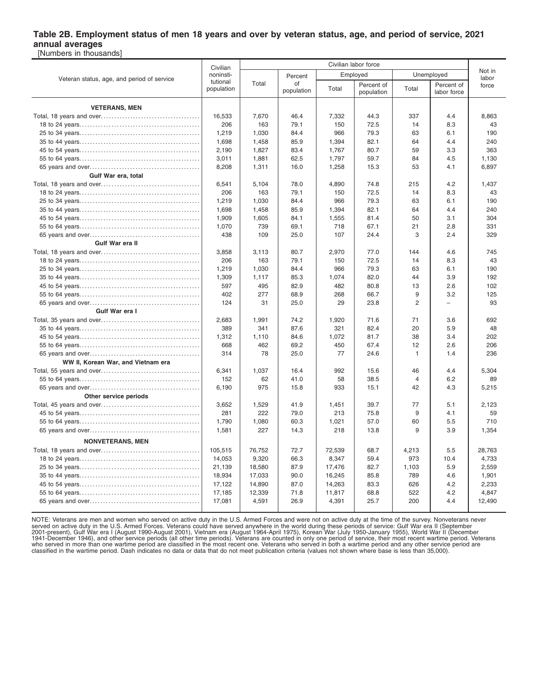#### **Table 2B. Employment status of men 18 years and over by veteran status, age, and period of service, 2021 annual averages** [Numbers in thousands]

|                                            | Civilian               |                |                  |        | Civilian labor force     |                |                           |                 |
|--------------------------------------------|------------------------|----------------|------------------|--------|--------------------------|----------------|---------------------------|-----------------|
|                                            | noninsti-              |                | Percent          |        | Employed                 |                | Unemployed                | Not in<br>labor |
| Veteran status, age, and period of service | tutional<br>population | Total          | οf<br>population | Total  | Percent of<br>population | Total          | Percent of<br>labor force | force           |
|                                            |                        |                |                  |        |                          |                |                           |                 |
| <b>VETERANS, MEN</b>                       | 16,533                 | 7,670          | 46.4             | 7,332  | 44.3                     | 337            | 4.4                       | 8,863           |
|                                            | 206                    | 163            | 79.1             | 150    | 72.5                     | 14             | 8.3                       | 43              |
|                                            |                        |                | 84.4             | 966    | 79.3                     | 63             | 6.1                       | 190             |
|                                            | 1,219<br>1,698         | 1,030<br>1,458 | 85.9             | 1,394  | 82.1                     | 64             | 4.4                       | 240             |
|                                            | 2,190                  | 1,827          | 83.4             | 1,767  | 80.7                     | 59             | 3.3                       | 363             |
|                                            |                        | 1,881          | 62.5             | 1,797  | 59.7                     | 84             | 4.5                       | 1,130           |
|                                            | 3,011<br>8,208         | 1,311          | 16.0             | 1,258  | 15.3                     | 53             | 4.1                       | 6,897           |
| Gulf War era, total                        |                        |                |                  |        |                          |                |                           |                 |
|                                            | 6,541                  | 5,104          | 78.0             | 4,890  | 74.8                     | 215            | 4.2                       | 1,437           |
|                                            | 206                    | 163            | 79.1             | 150    | 72.5                     | 14             | 8.3                       | 43              |
|                                            | 1,219                  | 1,030          |                  | 966    | 79.3                     | 63             | 6.1                       | 190             |
|                                            |                        |                | 84.4             |        | 82.1                     | 64             |                           | 240             |
|                                            | 1,698                  | 1,458          | 85.9             | 1,394  |                          | 50             | 4.4                       |                 |
|                                            | 1,909                  | 1,605          | 84.1             | 1,555  | 81.4                     |                | 3.1                       | 304             |
|                                            | 1,070                  | 739            | 69.1             | 718    | 67.1                     | 21             | 2.8                       | 331             |
|                                            | 438                    | 109            | 25.0             | 107    | 24.4                     | 3              | 2.4                       | 329             |
| Gulf War era II                            |                        |                |                  |        |                          |                |                           |                 |
|                                            | 3,858                  | 3,113          | 80.7             | 2,970  | 77.0                     | 144            | 4.6                       | 745             |
|                                            | 206                    | 163            | 79.1             | 150    | 72.5                     | 14             | 8.3                       | 43              |
|                                            | 1,219                  | 1,030          | 84.4             | 966    | 79.3                     | 63             | 6.1                       | 190             |
|                                            | 1,309                  | 1,117          | 85.3             | 1,074  | 82.0                     | 44             | 3.9                       | 192             |
|                                            | 597                    | 495            | 82.9             | 482    | 80.8                     | 13             | 2.6                       | 102             |
|                                            | 402                    | 277            | 68.9             | 268    | 66.7                     | 9              | 3.2                       | 125             |
|                                            | 124                    | 31             | 25.0             | 29     | 23.8                     | $\overline{c}$ | $\overline{\phantom{0}}$  | 93              |
| Gulf War era I                             |                        |                |                  |        |                          |                |                           |                 |
|                                            | 2,683                  | 1,991          | 74.2             | 1,920  | 71.6                     | 71             | 3.6                       | 692             |
|                                            | 389                    | 341            | 87.6             | 321    | 82.4                     | 20             | 5.9                       | 48              |
|                                            | 1,312                  | 1,110          | 84.6             | 1,072  | 81.7                     | 38             | 3.4                       | 202             |
|                                            | 668                    | 462            | 69.2             | 450    | 67.4                     | 12             | 2.6                       | 206             |
|                                            | 314                    | 78             | 25.0             | 77     | 24.6                     | $\mathbf{1}$   | 1.4                       | 236             |
| WW II, Korean War, and Vietnam era         |                        |                |                  |        |                          |                |                           |                 |
|                                            | 6,341                  | 1,037          | 16.4             | 992    | 15.6                     | 46             | 4.4                       | 5,304           |
|                                            | 152                    | 62             | 41.0             | 58     | 38.5                     | $\overline{4}$ | 6.2                       | 89              |
|                                            | 6,190                  | 975            | 15.8             | 933    | 15.1                     | 42             | 4.3                       | 5,215           |
| Other service periods                      |                        |                |                  |        |                          |                |                           |                 |
|                                            | 3,652                  | 1,529          | 41.9             | 1,451  | 39.7                     | 77             | 5.1                       | 2.123           |
|                                            | 281                    | 222            | 79.0             | 213    | 75.8                     | 9              | 4.1                       | 59              |
|                                            | 1,790                  | 1,080          | 60.3             | 1,021  | 57.0                     | 60             | 5.5                       | 710             |
|                                            | 1,581                  | 227            | 14.3             | 218    | 13.8                     | 9              | 3.9                       | 1,354           |
| <b>NONVETERANS, MEN</b>                    |                        |                |                  |        |                          |                |                           |                 |
|                                            | 105,515                | 76,752         | 72.7             | 72,539 | 68.7                     | 4,213          | 5.5                       | 28,763          |
|                                            | 14,053                 | 9,320          | 66.3             | 8,347  | 59.4                     | 973            | 10.4                      | 4,733           |
|                                            | 21,139                 | 18,580         | 87.9             | 17,476 | 82.7                     | 1,103          | 5.9                       | 2,559           |
|                                            | 18,934                 | 17,033         | 90.0             | 16,245 | 85.8                     | 789            | 4.6                       | 1,901           |
|                                            | 17,122                 | 14,890         | 87.0             | 14,263 | 83.3                     | 626            | 4.2                       | 2,233           |
|                                            | 17,185                 | 12,339         | 71.8             | 11,817 | 68.8                     | 522            | 4.2                       | 4,847           |
|                                            | 17,081                 | 4,591          | 26.9             | 4,391  | 25.7                     | 200            | 4.4                       | 12,490          |
|                                            |                        |                |                  |        |                          |                |                           |                 |

NOTE: Veterans are men and women who served on active duty in the U.S. Armed Forces and were not on active duty at the time of the survey. Nonveterans never<br>served on active duty in the U.S. Armed Forces. Veterans could ha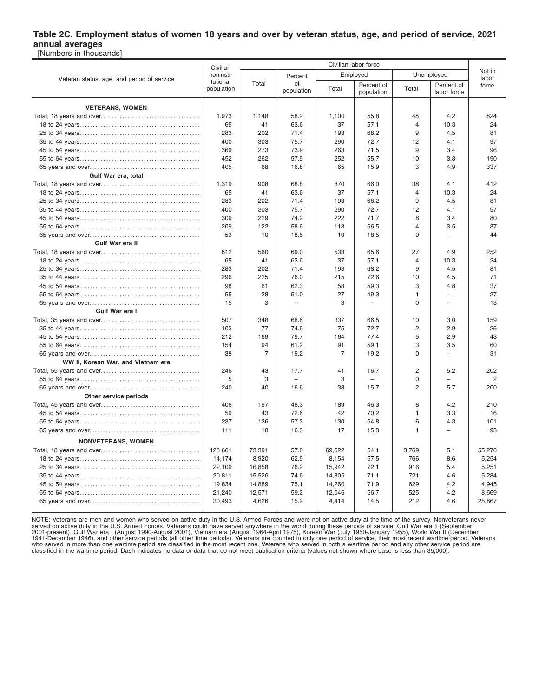#### **Table 2C. Employment status of women 18 years and over by veteran status, age, and period of service, 2021 annual averages** [Numbers in thousands]

|                                            | Civilian               |        |                          |        | Civilian labor force     |                     |                           |                 |
|--------------------------------------------|------------------------|--------|--------------------------|--------|--------------------------|---------------------|---------------------------|-----------------|
|                                            | noninsti-              |        | Percent                  |        | Employed                 |                     | Unemployed                | Not in<br>labor |
| Veteran status, age, and period of service | tutional<br>population | Total  | οf<br>population         | Total  | Percent of<br>population | Total               | Percent of<br>labor force | force           |
| <b>VETERANS, WOMEN</b>                     |                        |        |                          |        |                          |                     |                           |                 |
|                                            | 1,973                  | 1,148  | 58.2                     | 1,100  | 55.8                     | 48                  | 4.2                       | 824             |
|                                            | 65                     | 41     | 63.6                     | 37     | 57.1                     | $\overline{4}$      | 10.3                      | 24              |
|                                            | 283                    | 202    | 71.4                     | 193    | 68.2                     | 9                   | 4.5                       | 81              |
|                                            | 400                    | 303    | 75.7                     | 290    | 72.7                     | 12                  | 4.1                       | 97              |
|                                            | 369                    | 273    | 73.9                     | 263    |                          | 9                   | 3.4                       | 96              |
|                                            | 452                    | 262    | 57.9                     | 252    | 71.5<br>55.7             | 10                  |                           | 190             |
|                                            | 405                    | 68     | 16.8                     | 65     | 15.9                     | 3                   | 3.8<br>4.9                | 337             |
| Gulf War era, total                        |                        |        |                          |        |                          |                     |                           |                 |
|                                            | 1,319                  | 908    | 68.8                     | 870    | 66.0                     | 38                  | 4.1                       | 412             |
|                                            | 65                     | 41     | 63.6                     | 37     | 57.1                     | $\overline{4}$      | 10.3                      | 24              |
|                                            | 283                    | 202    | 71.4                     | 193    | 68.2                     | 9                   | 4.5                       | 81              |
|                                            | 400                    | 303    | 75.7                     | 290    | 72.7                     | 12                  |                           | 97              |
|                                            | 309                    | 229    | 74.2                     | 222    | 71.7                     | 8                   | 4.1<br>3.4                | 80              |
|                                            | 209                    | 122    | 58.6                     |        | 56.5                     | 4                   | 3.5                       | 87              |
|                                            |                        |        |                          | 118    |                          | 0                   |                           | 44              |
|                                            | 53                     | 10     | 18.5                     | 10     | 18.5                     |                     | $\overline{\phantom{a}}$  |                 |
| Gulf War era II                            |                        |        |                          |        |                          |                     |                           |                 |
|                                            | 812                    | 560    | 69.0                     | 533    | 65.6                     | 27                  | 4.9                       | 252             |
|                                            | 65                     | 41     | 63.6                     | 37     | 57.1                     | $\overline{4}$<br>9 | 10.3                      | 24              |
|                                            | 283                    | 202    | 71.4                     | 193    | 68.2                     |                     | 4.5                       | 81              |
|                                            | 296                    | 225    | 76.0                     | 215    | 72.6                     | 10                  | 4.5                       | 71              |
|                                            | 98                     | 61     | 62.3                     | 58     | 59.3                     | 3                   | 4.8                       | 37              |
|                                            | 55                     | 28     | 51.0                     | 27     | 49.3                     | 1                   | $\qquad \qquad -$         | 27              |
|                                            | 15                     | 3      | $\overline{\phantom{a}}$ | 3      | $\overline{\phantom{m}}$ | $\mathbf 0$         | $\overline{\phantom{0}}$  | 13              |
| Gulf War era I                             |                        |        |                          |        |                          |                     |                           |                 |
|                                            | 507                    | 348    | 68.6                     | 337    | 66.5                     | 10                  | 3.0                       | 159             |
|                                            | 103                    | 77     | 74.9                     | 75     | 72.7                     | $\overline{c}$      | 2.9                       | 26              |
|                                            | 212                    | 169    | 79.7                     | 164    | 77.4                     | 5                   | 2.9                       | 43              |
|                                            | 154                    | 94     | 61.2                     | 91     | 59.1                     | 3                   | 3.5                       | 60              |
|                                            | 38                     | 7      | 19.2                     | 7      | 19.2                     | 0                   | $\overline{\phantom{m}}$  | 31              |
| WW II, Korean War, and Vietnam era         |                        |        |                          |        |                          |                     |                           |                 |
|                                            | 246                    | 43     | 17.7                     | 41     | 16.7                     | 2                   | 5.2                       | 202             |
|                                            | 5                      | 3      |                          | 3      |                          | 0                   |                           | $\overline{c}$  |
|                                            | 240                    | 40     | 16.6                     | 38     | 15.7                     | $\overline{2}$      | 5.7                       | 200             |
| Other service periods                      |                        |        |                          |        |                          |                     |                           |                 |
|                                            | 408                    | 197    | 48.3                     | 189    | 46.3                     | 8                   | 4.2                       | 210             |
|                                            | 59                     | 43     | 72.6                     | 42     | 70.2                     | 1                   | 3.3                       | 16              |
|                                            | 237                    | 136    | 57.3                     | 130    | 54.8                     | 6                   | 4.3                       | 101             |
|                                            | 111                    | 18     | 16.3                     | 17     | 15.3                     | 1                   | $\overline{\phantom{0}}$  | 93              |
| <b>NONVETERANS, WOMEN</b>                  |                        |        |                          |        |                          |                     |                           |                 |
|                                            | 128,661                | 73,391 | 57.0                     | 69,622 | 54.1                     | 3,769               | 5.1                       | 55,270          |
|                                            | 14,174                 | 8,920  | 62.9                     | 8,154  | 57.5                     | 766                 | 8.6                       | 5,254           |
|                                            | 22,109                 | 16,858 | 76.2                     | 15,942 | 72.1                     | 916                 | 5.4                       | 5,251           |
|                                            | 20,811                 | 15,526 | 74.6                     | 14,805 | 71.1                     | 721                 | 4.6                       | 5,284           |
|                                            | 19,834                 | 14,889 | 75.1                     | 14,260 | 71.9                     | 629                 | 4.2                       | 4,945           |
|                                            | 21,240                 | 12,571 | 59.2                     | 12,046 | 56.7                     | 525                 | 4.2                       | 8,669           |
|                                            | 30,493                 | 4,626  | 15.2                     | 4,414  | 14.5                     | 212                 | 4.6                       | 25,867          |
|                                            |                        |        |                          |        |                          |                     |                           |                 |

NOTE: Veterans are men and women who served on active duty in the U.S. Armed Forces and were not on active duty at the time of the survey. Nonveterans never<br>served on active duty in the U.S. Armed Forces. Veterans could ha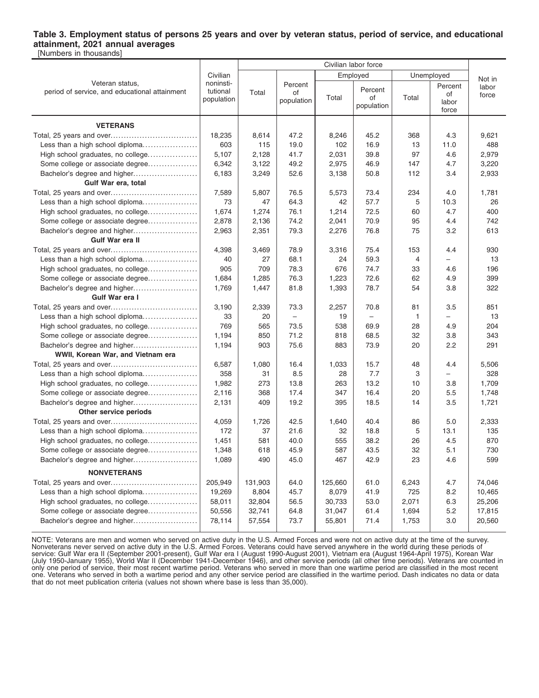#### **Table 3. Employment status of persons 25 years and over by veteran status, period of service, and educational attainment, 2021 annual averages** [Numbers in thousands]

|                                                                  |                                     | Civilian labor force |                             |         |                             |       |                                 |                          |  |
|------------------------------------------------------------------|-------------------------------------|----------------------|-----------------------------|---------|-----------------------------|-------|---------------------------------|--------------------------|--|
|                                                                  | Civilian                            |                      |                             |         | Employed                    |       | Unemployed                      |                          |  |
| Veteran status,<br>period of service, and educational attainment | noninsti-<br>tutional<br>population | Total                | Percent<br>οf<br>population | Total   | Percent<br>of<br>population | Total | Percent<br>of<br>labor<br>force | Not in<br>labor<br>force |  |
| <b>VETERANS</b>                                                  |                                     |                      |                             |         |                             |       |                                 |                          |  |
|                                                                  | 18,235                              | 8,614                | 47.2                        | 8,246   | 45.2                        | 368   | 4.3                             | 9,621                    |  |
| Less than a high school diploma                                  | 603                                 | 115                  | 19.0                        | 102     | 16.9                        | 13    | 11.0                            | 488                      |  |
| High school graduates, no college                                | 5,107                               | 2,128                | 41.7                        | 2,031   | 39.8                        | 97    | 4.6                             | 2,979                    |  |
| Some college or associate degree                                 | 6,342                               | 3,122                | 49.2                        | 2,975   | 46.9                        | 147   | 4.7                             | 3,220                    |  |
| Bachelor's degree and higher                                     | 6,183                               | 3,249                | 52.6                        | 3,138   | 50.8                        | 112   | 3.4                             | 2,933                    |  |
| Gulf War era, total                                              |                                     |                      |                             |         |                             |       |                                 |                          |  |
|                                                                  |                                     |                      |                             |         |                             |       |                                 |                          |  |
|                                                                  | 7,589                               | 5,807                | 76.5                        | 5,573   | 73.4                        | 234   | 4.0                             | 1,781                    |  |
| Less than a high school diploma                                  | 73                                  | 47                   | 64.3                        | 42      | 57.7                        | 5     | 10.3                            | 26                       |  |
| High school graduates, no college                                | 1,674                               | 1,274                | 76.1                        | 1,214   | 72.5                        | 60    | 4.7                             | 400                      |  |
| Some college or associate degree                                 | 2,878                               | 2,136                | 74.2                        | 2,041   | 70.9                        | 95    | 4.4                             | 742                      |  |
| Bachelor's degree and higher                                     | 2,963                               | 2,351                | 79.3                        | 2,276   | 76.8                        | 75    | 3.2                             | 613                      |  |
| Gulf War era II                                                  |                                     |                      |                             |         |                             |       |                                 |                          |  |
|                                                                  | 4,398                               | 3,469                | 78.9                        | 3,316   | 75.4                        | 153   | 4.4                             | 930                      |  |
| Less than a high school diploma                                  | 40                                  | 27                   | 68.1                        | 24      | 59.3                        | 4     |                                 | 13                       |  |
| High school graduates, no college                                | 905                                 | 709                  | 78.3                        | 676     | 74.7                        | 33    | 4.6                             | 196                      |  |
| Some college or associate degree                                 | 1,684                               | 1,285                | 76.3                        | 1,223   | 72.6                        | 62    | 4.9                             | 399                      |  |
| Bachelor's degree and higher                                     | 1,769                               | 1,447                | 81.8                        | 1,393   | 78.7                        | 54    | 3.8                             | 322                      |  |
| Gulf War era I                                                   |                                     |                      |                             |         |                             |       |                                 |                          |  |
|                                                                  | 3,190                               | 2,339                | 73.3                        | 2,257   | 70.8                        | 81    | 3.5                             | 851                      |  |
| Less than a high school diploma                                  | 33                                  | 20                   |                             | 19      |                             | 1     |                                 | 13                       |  |
| High school graduates, no college                                | 769                                 | 565                  | 73.5                        | 538     | 69.9                        | 28    | 4.9                             | 204                      |  |
| Some college or associate degree                                 | 1,194                               | 850                  | 71.2                        | 818     | 68.5                        | 32    | 3.8                             | 343                      |  |
| Bachelor's degree and higher                                     | 1,194                               | 903                  | 75.6                        | 883     | 73.9                        | 20    | 2.2                             | 291                      |  |
| WWII, Korean War, and Vietnam era                                |                                     |                      |                             |         |                             |       |                                 |                          |  |
|                                                                  | 6,587                               | 1,080                | 16.4                        | 1,033   | 15.7                        | 48    | 4.4                             | 5,506                    |  |
| Less than a high school diploma                                  | 358                                 | 31                   | 8.5                         | 28      | 7.7                         | 3     |                                 | 328                      |  |
| High school graduates, no college                                | 1,982                               | 273                  | 13.8                        | 263     | 13.2                        | 10    | 3.8                             | 1,709                    |  |
| Some college or associate degree                                 | 2,116                               | 368                  | 17.4                        | 347     | 16.4                        | 20    | 5.5                             | 1,748                    |  |
| Bachelor's degree and higher                                     | 2,131                               | 409                  | 19.2                        | 395     | 18.5                        | 14    | 3.5                             | 1,721                    |  |
| Other service periods                                            |                                     |                      |                             |         |                             |       |                                 |                          |  |
|                                                                  | 4,059                               | 1,726                | 42.5                        | 1,640   | 40.4                        | 86    | 5.0                             | 2,333                    |  |
| Less than a high school diploma                                  | 172                                 | 37                   | 21.6                        | 32      | 18.8                        | 5     | 13.1                            | 135                      |  |
| High school graduates, no college                                | 1,451                               | 581                  | 40.0                        | 555     | 38.2                        | 26    | 4.5                             | 870                      |  |
| Some college or associate degree                                 | 1,348                               | 618                  | 45.9                        | 587     | 43.5                        | 32    | 5.1                             | 730                      |  |
| Bachelor's degree and higher                                     | 1,089                               | 490                  | 45.0                        | 467     | 42.9                        | 23    | 4.6                             | 599                      |  |
| <b>NONVETERANS</b>                                               |                                     |                      |                             |         |                             |       |                                 |                          |  |
|                                                                  | 205,949                             | 131,903              | 64.0                        | 125,660 | 61.0                        | 6,243 | 4.7                             | 74,046                   |  |
| Less than a high school diploma                                  | 19,269                              | 8,804                | 45.7                        | 8,079   | 41.9                        | 725   | 8.2                             | 10,465                   |  |
| High school graduates, no college                                | 58,011                              | 32,804               | 56.5                        | 30,733  | 53.0                        | 2,071 | 6.3                             | 25,206                   |  |
| Some college or associate degree                                 | 50,556                              | 32,741               | 64.8                        | 31,047  | 61.4                        | 1,694 | 5.2                             | 17,815                   |  |
| Bachelor's degree and higher                                     | 78,114                              | 57,554               | 73.7                        | 55,801  | 71.4                        | 1,753 | 3.0                             | 20,560                   |  |
|                                                                  |                                     |                      |                             |         |                             |       |                                 |                          |  |

NOTE: Veterans are men and women who served on active duty in the U.S. Armed Forces and were not on active duty at the time of the survey. Nonveterans never served on active duty in the U.S. Armed Forces. Veterans could have served anywhere in the world during these periods of<br>service: Gulf War era II (September 2001-present), Gulf War era I (August 1990-Augu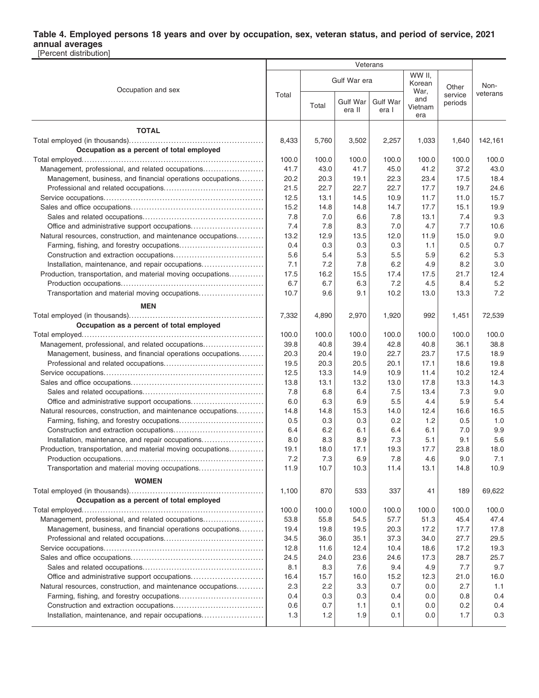#### **Table 4. Employed persons 18 years and over by occupation, sex, veteran status, and period of service, 2021 annual averages** [Percent distribution]

|                                                              |              |              |                    | Veterans                 |                          |                    |              |
|--------------------------------------------------------------|--------------|--------------|--------------------|--------------------------|--------------------------|--------------------|--------------|
| Occupation and sex                                           |              |              | Gulf War era       |                          | WW II.<br>Korean<br>War, | Other              | Non-         |
|                                                              | Total        | Total        | Gulf War<br>era II | <b>Gulf War</b><br>era I | and<br>Vietnam<br>era    | service<br>periods | veterans     |
| <b>TOTAL</b>                                                 |              |              |                    |                          |                          |                    |              |
|                                                              | 8,433        | 5,760        | 3,502              | 2,257                    | 1,033                    | 1,640              | 142,161      |
| Occupation as a percent of total employed                    |              |              |                    |                          |                          |                    |              |
|                                                              | 100.0        | 100.0        | 100.0              | 100.0                    | 100.0                    | 100.0              | 100.0        |
| Management, professional, and related occupations            | 41.7         | 43.0         | 41.7               | 45.0                     | 41.2                     | 37.2               | 43.0         |
| Management, business, and financial operations occupations   | 20.2         | 20.3         | 19.1               | 22.3                     | 23.4                     | 17.5               | 18.4         |
|                                                              | 21.5         | 22.7         | 22.7               | 22.7                     | 17.7                     | 19.7               | 24.6         |
|                                                              | 12.5         | 13.1         | 14.5               | 10.9                     | 11.7                     | 11.0               | 15.7         |
|                                                              | 15.2         | 14.8         | 14.8               | 14.7                     | 17.7                     | 15.1               | 19.9         |
|                                                              | 7.8          | 7.0          | 6.6                | 7.8                      | 13.1                     | 7.4                | 9.3          |
|                                                              | 7.4          | 7.8          | 8.3                | 7.0                      | 4.7                      | 7.7                | 10.6         |
| Natural resources, construction, and maintenance occupations | 13.2         | 12.9         | 13.5               | 12.0                     | 11.9                     | 15.0               | 9.0          |
|                                                              | 0.4          | 0.3          | 0.3                | 0.3                      | 1.1                      | 0.5                | 0.7          |
|                                                              | 5.6          | 5.4          | 5.3                | 5.5                      | 5.9                      | 6.2                | 5.3          |
| Installation, maintenance, and repair occupations            | 7.1          | 7.2          | 7.8                | 6.2                      | 4.9                      | 8.2                | 3.0          |
| Production, transportation, and material moving occupations  | 17.5         | 16.2         | 15.5               | 17.4                     | 17.5                     | 21.7               | 12.4         |
|                                                              | 6.7          | 6.7          | 6.3                | 7.2                      | 4.5                      | 8.4                | 5.2          |
| Transportation and material moving occupations               | 10.7         | 9.6          | 9.1                | 10.2                     | 13.0                     | 13.3               | 7.2          |
| <b>MEN</b>                                                   |              |              |                    |                          |                          |                    |              |
|                                                              | 7,332        | 4,890        | 2,970              | 1,920                    | 992                      | 1,451              | 72,539       |
| Occupation as a percent of total employed                    |              |              |                    |                          |                          |                    |              |
|                                                              | 100.0        | 100.0        | 100.0              | 100.0                    | 100.0                    | 100.0              | 100.0        |
| Management, professional, and related occupations            | 39.8         | 40.8         | 39.4               | 42.8                     | 40.8                     | 36.1               | 38.8         |
| Management, business, and financial operations occupations   | 20.3         | 20.4         | 19.0               | 22.7                     | 23.7                     | 17.5               | 18.9         |
|                                                              | 19.5<br>12.5 | 20.3         | 20.5               | 20.1                     | 17.1<br>11.4             | 18.6               | 19.8<br>12.4 |
|                                                              | 13.8         | 13.3<br>13.1 | 14.9<br>13.2       | 10.9<br>13.0             | 17.8                     | 10.2<br>13.3       | 14.3         |
|                                                              | 7.8          | 6.8          | 6.4                | 7.5                      | 13.4                     | 7.3                | 9.0          |
|                                                              | 6.0          | 6.3          | 6.9                | 5.5                      | 4.4                      | 5.9                | 5.4          |
| Natural resources, construction, and maintenance occupations | 14.8         | 14.8         | 15.3               | 14.0                     | 12.4                     | 16.6               | 16.5         |
|                                                              | 0.5          | 0.3          | 0.3                | 0.2                      | 1.2                      | 0.5                | 1.0          |
|                                                              | 6.4          | 6.2          | 6.1                | 6.4                      | 6.1                      | 7.0                | 9.9          |
| Installation, maintenance, and repair occupations            | 8.0          | 8.3          | 8.9                | 7.3                      | 5.1                      | 9.1                | 5.6          |
| Production, transportation, and material moving occupations  | 19.1         | 18.0         | 17.1               | 19.3                     | 17.7                     | 23.8               | 18.0         |
|                                                              | 7.2          | 7.3          | 6.9                | 7.8                      | 4.6                      | 9.0                | 7.1          |
| Transportation and material moving occupations               | 11.9         | 10.7         | 10.3               | 11.4                     | 13.1                     | 14.8               | 10.9         |
| <b>WOMEN</b>                                                 |              |              |                    |                          |                          |                    |              |
|                                                              | 1,100        | 870          | 533                | 337                      | 41                       | 189                | 69,622       |
| Occupation as a percent of total employed                    |              |              |                    |                          |                          |                    |              |
|                                                              | 100.0        | 100.0        | 100.0              | 100.0                    | 100.0                    | 100.0              | 100.0        |
| Management, professional, and related occupations            | 53.8         | 55.8         | 54.5               | 57.7                     | 51.3                     | 45.4               | 47.4         |
| Management, business, and financial operations occupations   | 19.4         | 19.8         | 19.5               | 20.3                     | 17.2                     | 17.7               | 17.8         |
|                                                              | 34.5         | 36.0         | 35.1               | 37.3                     | 34.0                     | 27.7               | 29.5         |
|                                                              | 12.8         | 11.6         | 12.4               | 10.4                     | 18.6                     | 17.2               | 19.3         |
|                                                              | 24.5         | 24.0         | 23.6               | 24.6                     | 17.3                     | 28.7               | 25.7         |
|                                                              | 8.1          | 8.3          | 7.6                | 9.4                      | 4.9                      | 7.7                | 9.7          |
|                                                              | 16.4         | 15.7         | 16.0               | 15.2                     | 12.3                     | 21.0               | 16.0         |
| Natural resources, construction, and maintenance occupations | 2.3          | 2.2          | 3.3                | 0.7                      | 0.0                      | 2.7                | 1.1          |
|                                                              | 0.4          | 0.3          | 0.3                | 0.4                      | 0.0                      | 0.8                | 0.4          |
|                                                              | 0.6          | 0.7          | 1.1                | 0.1                      | 0.0                      | 0.2                | 0.4          |
| Installation, maintenance, and repair occupations            | 1.3          | 1.2          | 1.9                | 0.1                      | 0.0                      | 1.7                | 0.3          |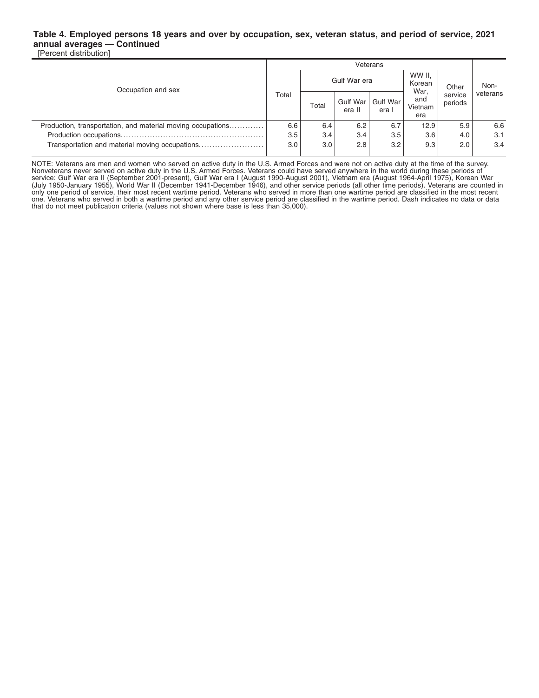#### **Table 4. Employed persons 18 years and over by occupation, sex, veteran status, and period of service, 2021 annual averages — Continued** [Percent distribution]

|                                                             |       |       |                    | Veterans                 |                          |                    |          |
|-------------------------------------------------------------|-------|-------|--------------------|--------------------------|--------------------------|--------------------|----------|
| Occupation and sex                                          |       |       | Gulf War era       |                          | WW II.<br>Korean<br>War, | Other              | Non-     |
|                                                             | Total | Total | Gulf War<br>era II | <b>Gulf War</b><br>era I | and<br>Vietnam<br>era    | service<br>periods | veterans |
| Production, transportation, and material moving occupations | 6.6   | 6.4   | 6.2                | 6.7                      | 12.9                     | 5.9                | 6.6      |
|                                                             | 3.5   | 3.4   | 3.4                | 3.5                      | 3.6                      | 4.0                | 3.1      |
| Transportation and material moving occupations              | 3.0   | 3.0   | 2.8                | 3.2                      | 9.3                      | 2.0                | 3.4      |
|                                                             |       |       |                    |                          |                          |                    |          |

NOTE: Veterans are men and women who served on active duty in the U.S. Armed Forces and were not on active duty at the time of the survey.<br>Nonveterans never served on active duty in the U.S. Armed Forces. Veterans could ha one. Veterans who served in both a wartime period and any other service period are classified in the wartime period. Dash indicates no data or data that do not meet publication criteria (values not shown where base is less than 35,000).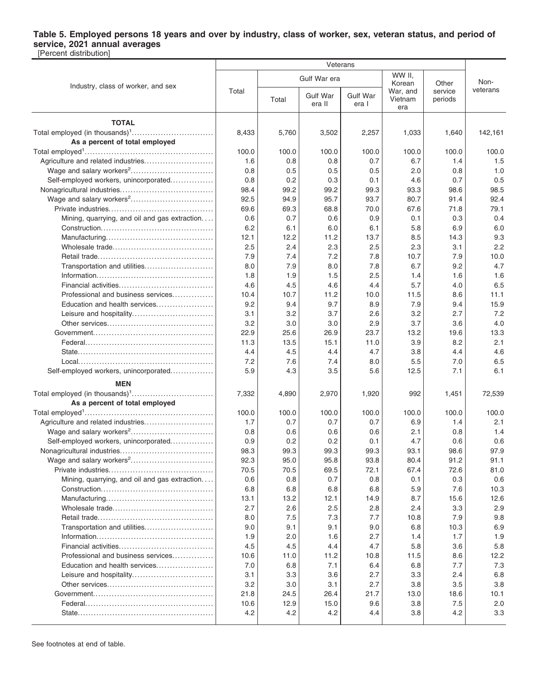#### **Table 5. Employed persons 18 years and over by industry, class of worker, sex, veteran status, and period of service, 2021 annual averages** [Percent distribution]

|                                               | Veterans    |            |                           |                          |                            |                    |             |  |  |
|-----------------------------------------------|-------------|------------|---------------------------|--------------------------|----------------------------|--------------------|-------------|--|--|
| Industry, class of worker, and sex            |             |            | Gulf War era              |                          | WW II,<br>Korean           | Other              | Non-        |  |  |
|                                               | Total       | Total      | <b>Gulf War</b><br>era II | <b>Gulf War</b><br>era I | War, and<br>Vietnam<br>era | service<br>periods | veterans    |  |  |
| <b>TOTAL</b>                                  |             |            |                           |                          |                            |                    |             |  |  |
|                                               | 8,433       | 5,760      | 3,502                     | 2,257                    | 1,033                      | 1,640              | 142,161     |  |  |
| As a percent of total employed                |             |            |                           |                          |                            |                    |             |  |  |
|                                               | 100.0       | 100.0      | 100.0                     | 100.0                    | 100.0                      | 100.0              | 100.0       |  |  |
| Agriculture and related industries            | 1.6         | 0.8        | 0.8                       | 0.7                      | 6.7                        | 1.4                | 1.5         |  |  |
|                                               | 0.8         | 0.5        | 0.5                       | 0.5                      | 2.0                        | 0.8                | 1.0         |  |  |
| Self-employed workers, unincorporated         | 0.8         | 0.2        | 0.3                       | 0.1                      | 4.6                        | 0.7                | 0.5         |  |  |
|                                               | 98.4        | 99.2       | 99.2                      | 99.3                     | 93.3                       | 98.6               | 98.5        |  |  |
|                                               | 92.5        | 94.9       | 95.7                      | 93.7                     | 80.7                       | 91.4               | 92.4        |  |  |
|                                               | 69.6        | 69.3       | 68.8                      | 70.0                     | 67.6                       | 71.8               | 79.1        |  |  |
| Mining, quarrying, and oil and gas extraction | 0.6         | 0.7        | 0.6                       | 0.9                      | 0.1                        | 0.3                | 0.4         |  |  |
|                                               | 6.2         | 6.1        | 6.0                       | 6.1                      | 5.8                        | 6.9                | 6.0         |  |  |
|                                               | 12.1        | 12.2       | 11.2                      | 13.7                     | 8.5                        | 14.3               | 9.3         |  |  |
|                                               | 2.5         | 2.4        | 2.3                       | 2.5                      | 2.3                        | 3.1                | 2.2         |  |  |
|                                               | 7.9         | 7.4        | 7.2                       | 7.8                      | 10.7                       | 7.9                | 10.0        |  |  |
| Transportation and utilities                  | 8.0         | 7.9        | 8.0                       | 7.8                      | 6.7                        | 9.2                | 4.7         |  |  |
|                                               | 1.8         | 1.9        | 1.5                       | 2.5                      | 1.4                        | 1.6                | 1.6         |  |  |
|                                               | 4.6         | 4.5        | 4.6                       | 4.4                      | 5.7                        | 4.0                | 6.5         |  |  |
| Professional and business services            | 10.4        | 10.7       | 11.2                      | 10.0                     | 11.5                       | 8.6                | 11.1        |  |  |
| Education and health services                 | 9.2<br>3.1  | 9.4<br>3.2 | 9.7<br>3.7                | 8.9<br>2.6               | 7.9<br>3.2                 | 9.4<br>2.7         | 15.9<br>7.2 |  |  |
| Leisure and hospitality                       | 3.2         | 3.0        | 3.0                       | 2.9                      | 3.7                        | 3.6                | 4.0         |  |  |
|                                               | 22.9        | 25.6       | 26.9                      | 23.7                     | 13.2                       | 19.6               | 13.3        |  |  |
|                                               | 11.3        | 13.5       | 15.1                      | 11.0                     | 3.9                        | 8.2                | 2.1         |  |  |
|                                               | 4.4         | 4.5        | 4.4                       | 4.7                      | 3.8                        | 4.4                | 4.6         |  |  |
|                                               | 7.2         | 7.6        | 7.4                       | 8.0                      | 5.5                        | 7.0                | 6.5         |  |  |
| Self-employed workers, unincorporated         | 5.9         | 4.3        | 3.5                       | 5.6                      | 12.5                       | 7.1                | 6.1         |  |  |
| <b>MEN</b>                                    |             |            |                           |                          |                            |                    |             |  |  |
|                                               | 7,332       | 4,890      | 2,970                     | 1,920                    | 992                        | 1,451              | 72,539      |  |  |
| As a percent of total employed                |             |            |                           |                          |                            |                    |             |  |  |
|                                               | 100.0       | 100.0      | 100.0                     | 100.0                    | 100.0                      | 100.0              | 100.0       |  |  |
|                                               | 1.7         | 0.7        | 0.7                       | 0.7                      | 6.9                        | 1.4                | 2.1         |  |  |
|                                               | 0.8         | 0.6        | 0.6                       | 0.6                      | 2.1                        | 0.8                | 1.4         |  |  |
| Self-employed workers, unincorporated         | 0.9         | 0.2        | 0.2                       | 0.1                      | 4.7                        | 0.6                | 0.6         |  |  |
|                                               | 98.3        | 99.3       | 99.3                      | 99.3                     | 93.1                       | 98.6               | 97.9        |  |  |
|                                               | 92.3        | 95.0       | 95.8                      | 93.8                     | 80.4                       | 91.2               | 91.1        |  |  |
|                                               | 70.5        | 70.5       | 69.5                      | 72.1                     | 67.4                       | 72.6               | 81.0        |  |  |
| Mining, quarrying, and oil and gas extraction | 0.6         | 0.8        | 0.7                       | 0.8                      | 0.1                        | 0.3                | 0.6         |  |  |
|                                               | 6.8         | 6.8        | 6.8                       | 6.8                      | 5.9                        | 7.6                | 10.3        |  |  |
|                                               | 13.1        | 13.2       | 12.1                      | 14.9                     | 8.7                        | 15.6               | 12.6        |  |  |
|                                               | 2.7         | 2.6        | 2.5                       | 2.8                      | 2.4                        | 3.3                | 2.9         |  |  |
|                                               | 8.0         | 7.5        | 7.3                       | 7.7                      | 10.8                       | 7.9                | 9.8         |  |  |
| Transportation and utilities                  | 9.0         | 9.1        | 9.1                       | 9.0                      | 6.8                        | 10.3               | 6.9         |  |  |
|                                               | 1.9<br>4.5  | 2.0<br>4.5 | 1.6<br>4.4                | 2.7<br>4.7               | 1.4<br>5.8                 | 1.7<br>3.6         | 1.9<br>5.8  |  |  |
| Professional and business services            |             | 11.0       | 11.2                      | 10.8                     | 11.5                       | 8.6                | 12.2        |  |  |
| Education and health services                 | 10.6<br>7.0 | 6.8        | 7.1                       | 6.4                      | 6.8                        | 7.7                | 7.3         |  |  |
|                                               | 3.1         | 3.3        | 3.6                       | 2.7                      | 3.3                        | 2.4                | 6.8         |  |  |
|                                               | 3.2         | 3.0        | 3.1                       | 2.7                      | 3.8                        | 3.5                | 3.8         |  |  |
|                                               | 21.8        | 24.5       | 26.4                      | 21.7                     | 13.0                       | 18.6               | 10.1        |  |  |
|                                               | 10.6        | 12.9       | 15.0                      | 9.6                      | 3.8                        | 7.5                | 2.0         |  |  |
|                                               | 4.2         | 4.2        | 4.2                       | 4.4                      | 3.8                        | 4.2                | 3.3         |  |  |
|                                               |             |            |                           |                          |                            |                    |             |  |  |

See footnotes at end of table.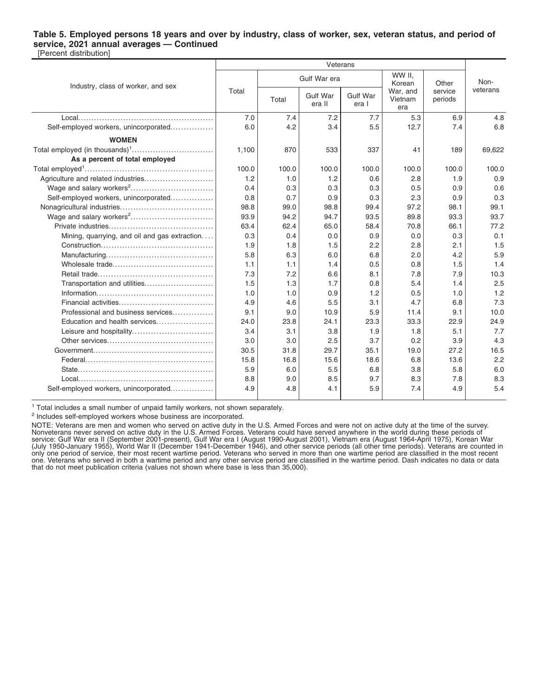#### **Table 5. Employed persons 18 years and over by industry, class of worker, sex, veteran status, and period of service, 2021 annual averages — Continued** [Percent distribution]

|                                               | Veterans |       |                           |                          |                            |                    |          |  |  |  |  |
|-----------------------------------------------|----------|-------|---------------------------|--------------------------|----------------------------|--------------------|----------|--|--|--|--|
| Industry, class of worker, and sex            |          |       | Gulf War era              |                          | WW II.<br>Korean           | Other              | Non-     |  |  |  |  |
|                                               | Total    | Total | <b>Gulf War</b><br>era II | <b>Gulf War</b><br>era I | War, and<br>Vietnam<br>era | service<br>periods | veterans |  |  |  |  |
|                                               | 7.0      | 7.4   | 7.2                       | 7.7                      | 5.3                        | 6.9                | 4.8      |  |  |  |  |
| Self-employed workers, unincorporated         | 6.0      | 4.2   | 3.4                       | 5.5                      | 12.7                       | 7.4                | 6.8      |  |  |  |  |
| <b>WOMEN</b>                                  |          |       |                           |                          |                            |                    |          |  |  |  |  |
|                                               | 1,100    | 870   | 533                       | 337                      | 41                         | 189                | 69,622   |  |  |  |  |
| As a percent of total employed                |          |       |                           |                          |                            |                    |          |  |  |  |  |
|                                               | 100.0    | 100.0 | 100.0                     | 100.0                    | 100.0                      | 100.0              | 100.0    |  |  |  |  |
|                                               | 1.2      | 1.0   | 1.2                       | 0.6                      | 2.8                        | 1.9                | 0.9      |  |  |  |  |
|                                               | 0.4      | 0.3   | 0.3                       | 0.3                      | 0.5                        | 0.9                | 0.6      |  |  |  |  |
| Self-employed workers, unincorporated         | 0.8      | 0.7   | 0.9                       | 0.3                      | 2.3                        | 0.9                | 0.3      |  |  |  |  |
|                                               | 98.8     | 99.0  | 98.8                      | 99.4                     | 97.2                       | 98.1               | 99.1     |  |  |  |  |
|                                               | 93.9     | 94.2  | 94.7                      | 93.5                     | 89.8                       | 93.3               | 93.7     |  |  |  |  |
|                                               | 63.4     | 62.4  | 65.0                      | 58.4                     | 70.8                       | 66.1               | 77.2     |  |  |  |  |
| Mining, quarrying, and oil and gas extraction | 0.3      | 0.4   | 0.0                       | 0.9                      | 0.0                        | 0.3                | 0.1      |  |  |  |  |
|                                               | 1.9      | 1.8   | 1.5                       | 2.2                      | 2.8                        | 2.1                | 1.5      |  |  |  |  |
|                                               | 5.8      | 6.3   | 6.0                       | 6.8                      | 2.0                        | 4.2                | 5.9      |  |  |  |  |
|                                               | 1.1      | 1.1   | 1.4                       | 0.5                      | 0.8                        | 1.5                | 1.4      |  |  |  |  |
|                                               | 7.3      | 7.2   | 6.6                       | 8.1                      | 7.8                        | 7.9                | 10.3     |  |  |  |  |
| Transportation and utilities                  | 1.5      | 1.3   | 1.7                       | 0.8                      | 5.4                        | 1.4                | 2.5      |  |  |  |  |
|                                               | 1.0      | 1.0   | 0.9                       | 1.2                      | 0.5                        | 1.0                | 1.2      |  |  |  |  |
|                                               | 4.9      | 4.6   | 5.5                       | 3.1                      | 4.7                        | 6.8                | 7.3      |  |  |  |  |
| Professional and business services            | 9.1      | 9.0   | 10.9                      | 5.9                      | 11.4                       | 9.1                | 10.0     |  |  |  |  |
| Education and health services                 | 24.0     | 23.8  | 24.1                      | 23.3                     | 33.3                       | 22.9               | 24.9     |  |  |  |  |
|                                               | 3.4      | 3.1   | 3.8                       | 1.9                      | 1.8                        | 5.1                | 7.7      |  |  |  |  |
|                                               | 3.0      | 3.0   | 2.5                       | 3.7                      | 0.2                        | 3.9                | 4.3      |  |  |  |  |
|                                               | 30.5     | 31.8  | 29.7                      | 35.1                     | 19.0                       | 27.2               | 16.5     |  |  |  |  |
|                                               | 15.8     | 16.8  | 15.6                      | 18.6                     | 6.8                        | 13.6               | 2.2      |  |  |  |  |
|                                               | 5.9      | 6.0   | 5.5                       | 6.8                      | 3.8                        | 5.8                | 6.0      |  |  |  |  |
|                                               | 8.8      | 9.0   | 8.5                       | 9.7                      | 8.3                        | 7.8                | 8.3      |  |  |  |  |
| Self-employed workers, unincorporated         | 4.9      | 4.8   | 4.1                       | 5.9                      | 7.4                        | 4.9                | 5.4      |  |  |  |  |

<sup>1</sup> Total includes a small number of unpaid family workers, not shown separately.

<sup>2</sup> Includes self-employed workers whose business are incorporated.

NOTE: Veterans are men and women who served on active duty in the U.S. Armed Forces and were not on active duty at the time of the survey. Nonveterans never served on active duty in the U.S. Armed Forces. Veterans could have served anywhere in the world during these periods of<br>service: Gulf War era II (September 2001-present), Gulf War era I (August 1990-Augu (July 1950-January 1955), World War II (December 1941-December 1946), and other service periods (all other time periods). Veterans are counted in only one period of service, their most recent wartime period. Veterans who served in more than one wartime period are classified in the most recent one. Veterans who served in both a wartime period and any other service period are classified in the wartime period. Dash indicates no data or data that do not meet publication criteria (values not shown where base is less than 35,000).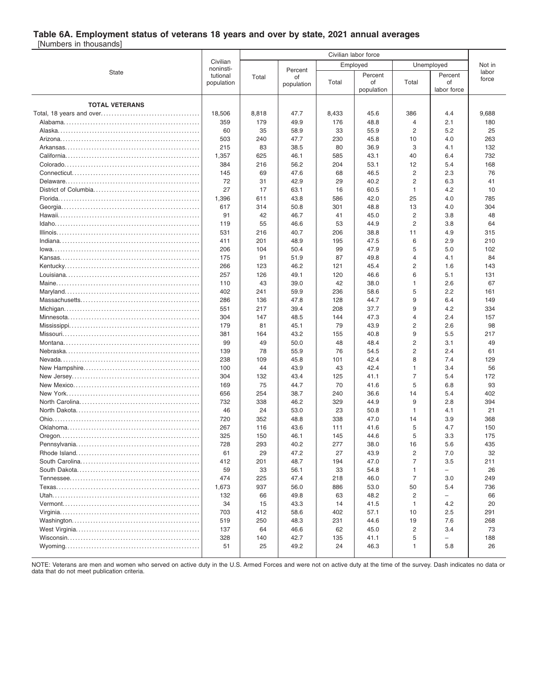# **Table 6A. Employment status of veterans 18 years and over by state, 2021 annual averages**

[Numbers in thousands]

|                       |                       | Civilian labor force |                  |       |            |                |             |        |
|-----------------------|-----------------------|----------------------|------------------|-------|------------|----------------|-------------|--------|
|                       | Civilian              |                      |                  |       | Employed   |                | Unemployed  | Not in |
| State                 | noninsti-<br>tutional |                      | Percent          |       | Percent    |                | Percent     | labor  |
|                       | population            | Total                | οf<br>population | Total | οf         | Total          | of          | force  |
|                       |                       |                      |                  |       | population |                | labor force |        |
|                       |                       |                      |                  |       |            |                |             |        |
| <b>TOTAL VETERANS</b> |                       |                      |                  |       |            |                |             |        |
|                       | 18,506                | 8,818                | 47.7             | 8,433 | 45.6       | 386            | 4.4         | 9,688  |
|                       | 359                   | 179                  | 49.9             | 176   | 48.8       | $\overline{4}$ | 2.1         | 180    |
|                       | 60                    | 35                   | 58.9             | 33    | 55.9       | $\overline{c}$ | 5.2         | 25     |
|                       | 503                   | 240                  | 47.7             | 230   | 45.8       | 10             | 4.0         | 263    |
|                       | 215                   | 83                   | 38.5             | 80    | 36.9       | 3              | 4.1         | 132    |
|                       | 1,357                 | 625                  | 46.1             | 585   | 43.1       | 40             | 6.4         | 732    |
|                       | 384                   | 216                  | 56.2             | 204   | 53.1       | 12             | 5.4         | 168    |
|                       | 145                   | 69                   | 47.6             | 68    | 46.5       | $\overline{c}$ | 2.3         | 76     |
|                       | 72                    | 31                   | 42.9             | 29    | 40.2       | $\overline{c}$ | 6.3         | 41     |
|                       | 27                    | 17                   | 63.1             | 16    | 60.5       | $\mathbf{1}$   | 4.2         | 10     |
|                       | 1,396                 | 611                  | 43.8             | 586   | 42.0       | 25             | 4.0         | 785    |
|                       | 617                   | 314                  | 50.8             | 301   | 48.8       | 13             | 4.0         | 304    |
|                       | 91                    | 42                   | 46.7             | 41    | 45.0       | $\overline{c}$ | 3.8         | 48     |
|                       | 119                   | 55                   | 46.6             | 53    | 44.9       | $\overline{c}$ | 3.8         | 64     |
|                       | 531                   | 216                  | 40.7             | 206   | 38.8       | 11             | 4.9         | 315    |
|                       | 411                   | 201                  | 48.9             | 195   | 47.5       | 6              | 2.9         | 210    |
|                       | 206                   | 104                  | 50.4             | 99    | 47.9       | 5              | 5.0         | 102    |
|                       | 175                   | 91                   | 51.9             | 87    | 49.8       | 4              | 4.1         | 84     |
|                       | 266                   | 123                  | 46.2             | 121   | 45.4       | 2              | 1.6         | 143    |
|                       | 257                   | 126                  | 49.1             | 120   | 46.6       | 6              | 5.1         | 131    |
|                       | 110                   | 43                   | 39.0             | 42    | 38.0       | 1              | 2.6         | 67     |
|                       | 402                   | 241                  | 59.9             | 236   | 58.6       | 5              | 2.2         | 161    |
|                       | 286                   | 136                  | 47.8             | 128   | 44.7       | 9              | 6.4         | 149    |
|                       | 551                   | 217                  | 39.4             | 208   | 37.7       | 9              | 4.2         | 334    |
|                       | 304                   | 147                  | 48.5             | 144   | 47.3       | 4              | 2.4         | 157    |
|                       | 179                   | 81                   | 45.1             | 79    | 43.9       | 2              | 2.6         | 98     |
|                       | 381                   | 164                  | 43.2             | 155   | 40.8       | 9              | 5.5         | 217    |
|                       | 99                    | 49                   | 50.0             | 48    | 48.4       | 2              | 3.1         | 49     |
|                       | 139                   | 78                   | 55.9             | 76    | 54.5       | 2              | 2.4         | 61     |
|                       | 238                   | 109                  | 45.8             | 101   | 42.4       | 8              | 7.4         | 129    |
|                       | 100                   | 44                   | 43.9             | 43    | 42.4       | 1              | 3.4         | 56     |
|                       | 304                   | 132                  | 43.4             | 125   | 41.1       | 7              | 5.4         | 172    |
|                       | 169                   | 75                   | 44.7             | 70    | 41.6       | 5              | 6.8         | 93     |
|                       | 656                   | 254                  | 38.7             | 240   | 36.6       | 14             | 5.4         | 402    |
|                       | 732                   | 338                  | 46.2             | 329   | 44.9       | 9              | 2.8         | 394    |
|                       | 46                    | 24                   | 53.0             | 23    | 50.8       | $\mathbf{1}$   | 4.1         | 21     |
|                       | 720                   | 352                  | 48.8             | 338   | 47.0       | 14             | 3.9         | 368    |
|                       | 267                   | 116                  | 43.6             | 111   | 41.6       | 5              | 4.7         | 150    |
|                       | 325                   | 150                  | 46.1             | 145   | 44.6       | 5              | 3.3         | 175    |
|                       | 728                   | 293                  | 40.2             | 277   | 38.0       | 16             | 5.6         | 435    |
|                       | 61                    | 29                   | 47.2             | 27    | 43.9       | 2              | 7.0         | 32     |
|                       | 412                   | 201                  | 48.7             | 194   | 47.0       | $\overline{7}$ | 3.5         | 211    |
|                       | 59                    | 33                   | 56.1             | 33    | 54.8       | 1              | -           | 26     |
|                       | 474                   | 225                  | 47.4             | 218   | 46.0       | $\overline{7}$ | 3.0         | 249    |
|                       | 1,673                 | 937                  | 56.0             | 886   | 53.0       | 50             | 5.4         | 736    |
|                       | 132                   | 66                   | 49.8             | 63    | 48.2       | $\overline{2}$ |             | 66     |
|                       | 34                    | 15                   | 43.3             | 14    | 41.5       | $\mathbf{1}$   | 4.2         | 20     |
|                       | 703                   | 412                  | 58.6             | 402   | 57.1       | 10             | 2.5         | 291    |
|                       | 519                   | 250                  | 48.3             | 231   | 44.6       | 19             | 7.6         | 268    |
|                       | 137                   | 64                   | 46.6             | 62    | 45.0       | $\overline{2}$ | 3.4         | 73     |
|                       | 328                   | 140                  | 42.7             | 135   | 41.1       | 5              |             | 188    |
|                       | 51                    | 25                   | 49.2             | 24    | 46.3       | 1              | 5.8         | 26     |
|                       |                       |                      |                  |       |            |                |             |        |

NOTE: Veterans are men and women who served on active duty in the U.S. Armed Forces and were not on active duty at the time of the survey. Dash indicates no data or data that do not meet publication criteria.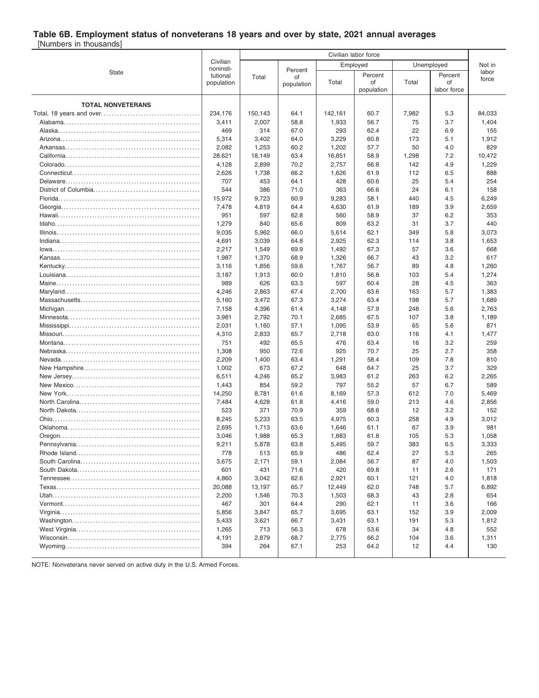#### **Table 6B. Employment status of nonveterans 18 years and over by state, 2021 annual averages**

[Numbers in thousands]

|                          |                       | Civilian labor force |               |         |            |       |             |        |
|--------------------------|-----------------------|----------------------|---------------|---------|------------|-------|-------------|--------|
|                          | Civilian              |                      |               |         | Employed   |       | Unemployed  | Not in |
| <b>State</b>             | noninsti-<br>tutional | Total                | Percent<br>of |         | Percent    |       | Percent     | labor  |
|                          | population            |                      | population    | Total   | of         | Total | of          | force  |
|                          |                       |                      |               |         | population |       | labor force |        |
|                          |                       |                      |               |         |            |       |             |        |
| <b>TOTAL NONVETERANS</b> |                       |                      |               |         |            |       |             |        |
|                          | 234,176               | 150,143              | 64.1          | 142.161 | 60.7       | 7,982 | 5.3         | 84,033 |
|                          | 3,411                 | 2,007                | 58.8          | 1,933   | 56.7       | 75    | 3.7         | 1,404  |
|                          | 469                   | 314                  | 67.0          | 293     | 62.4       | 22    | 6.9         | 155    |
|                          | 5,314                 | 3,402                | 64.0          | 3,229   | 60.8       | 173   | 5.1         | 1,912  |
|                          | 2,082                 | 1,253                | 60.2          | 1,202   | 57.7       | 50    | 4.0         | 829    |
|                          | 28,621                | 18,149               | 63.4          | 16,851  | 58.9       | 1,298 | 7.2         | 10,472 |
|                          | 4,128                 | 2,899                | 70.2          | 2,757   | 66.8       | 142   | 4.9         | 1,229  |
|                          | 2,626                 | 1,738                | 66.2          | 1,626   | 61.9       | 112   | 6.5         | 888    |
|                          | 707                   | 453                  | 64.1          | 428     | 60.6       | 25    | 5.4         | 254    |
|                          | 544                   | 386                  | 71.0          | 363     | 66.6       | 24    | 6.1         | 158    |
|                          | 15,972                | 9,723                | 60.9          | 9,283   | 58.1       | 440   | 4.5         | 6,249  |
|                          | 7,478                 | 4,819                | 64.4          | 4,630   | 61.9       | 189   | 3.9         | 2,659  |
|                          | 951                   | 597                  | 62.8          | 560     | 58.9       | 37    | 6.2         | 353    |
|                          | 1,279                 | 840                  | 65.6          | 809     | 63.2       | 31    | 3.7         | 440    |
|                          | 9,035                 | 5,962                | 66.0          | 5,614   | 62.1       | 349   | 5.8         | 3,073  |
|                          | 4,691                 | 3,039                | 64.8          | 2,925   | 62.3       | 114   | 3.8         | 1,653  |
|                          | 2,217                 | 1,549                | 69.9          | 1,492   | 67.3       | 57    | 3.6         | 668    |
|                          | 1,987                 | 1,370                | 68.9          | 1,326   | 66.7       | 43    | 3.2         | 617    |
|                          | 3,116                 | 1,856                | 59.6          | 1,767   | 56.7       | 89    | 4.8         | 1,260  |
|                          | 3,187                 | 1,913                | 60.0          | 1,810   | 56.8       | 103   | 5.4         | 1,274  |
|                          | 989                   | 626                  | 63.3          | 597     | 60.4       | 28    | 4.5         | 363    |
|                          | 4,246                 | 2,863                | 67.4          | 2,700   | 63.6       | 163   | 5.7         | 1,383  |
|                          | 5,160                 | 3,472                | 67.3          | 3,274   | 63.4       | 198   | 5.7         | 1,689  |
|                          | 7,158                 | 4,396                | 61.4          | 4,148   | 57.9       | 248   | 5.6         | 2,763  |
|                          | 3,981                 | 2,792                | 70.1          | 2,685   | 67.5       | 107   | 3.8         | 1,189  |
|                          | 2,031                 | 1,160                | 57.1          | 1,095   | 53.9       | 65    | 5.6         | 871    |
|                          | 4,310                 | 2,833                | 65.7          | 2,718   | 63.0       | 116   | 4.1         | 1,477  |
|                          | 751                   | 492                  | 65.5          | 476     | 63.4       | 16    | 3.2         | 259    |
|                          | 1,308                 | 950                  | 72.6          | 925     | 70.7       | 25    | 2.7         | 358    |
|                          | 2,209                 | 1,400                | 63.4          | 1,291   | 58.4       | 109   | 7.8         | 810    |
|                          | 1,002                 | 673                  | 67.2          | 648     | 64.7       | 25    | 3.7         | 329    |
|                          | 6,511                 | 4,246                | 65.2          | 3,983   | 61.2       | 263   | 6.2         | 2,265  |
|                          | 1,443                 | 854                  | 59.2          | 797     | 55.2       | 57    | 6.7         | 589    |
|                          | 14,250                | 8,781                | 61.6          | 8,169   | 57.3       | 612   | 7.0         | 5,469  |
|                          | 7,484                 | 4,628                | 61.8          | 4,416   | 59.0       | 213   | 4.6         | 2,856  |
|                          | 523                   | 371                  | 70.9          | 359     | 68.6       | 12    | 3.2         | 152    |
|                          | 8,245                 | 5,233                | 63.5          | 4,975   | 60.3       | 258   | 4.9         | 3,012  |
|                          | 2,695                 | 1,713                | 63.6          | 1,646   | 61.1       | 67    | 3.9         | 981    |
|                          | 3,046                 | 1,988                | 65.3          | 1,883   | 61.8       | 105   | 5.3         | 1,058  |
| Pennsylvania             | 9,211                 | 5.878                | 63.8          | 5.495   | 59.7       | 383   | 6.5         | 3,333  |
|                          | 778                   | 513                  | 65.9          | 486     | 62.4       | 27    | 5.3         | 265    |
|                          | 3,675                 | 2,171                | 59.1          | 2,084   | 56.7       | 87    | 4.0         | 1,503  |
|                          | 601                   | 431                  | 71.6          | 420     | 69.8       | 11    | 2.6         | 171    |
|                          | 4,860                 | 3,042                | 62.6          | 2,921   | 60.1       | 121   | 4.0         | 1,818  |
|                          | 20,088                | 13,197               | 65.7          | 12,449  | 62.0       | 748   | 5.7         | 6,892  |
|                          | 2,200                 | 1,546                | 70.3          | 1,503   | 68.3       | 43    | 2.8         | 654    |
|                          | 467                   | 301                  | 64.4          | 290     | 62.1       | 11    | 3.6         | 166    |
|                          | 5,856                 | 3,847                | 65.7          | 3,695   | 63.1       | 152   | 3.9         | 2,009  |
|                          | 5,433                 | 3,621                | 66.7          | 3,431   | 63.1       | 191   | 5.3         | 1,812  |
|                          | 1,265                 | 713                  | 56.3          | 678     | 53.6       | 34    | 4.8         | 552    |
|                          | 4,191                 | 2,879                | 68.7          | 2,775   | 66.2       | 104   | 3.6         | 1,311  |
|                          | 394                   | 264                  | 67.1          | 253     | 64.2       | 12    | 4.4         | 130    |
|                          |                       |                      |               |         |            |       |             |        |

NOTE: Nonveterans never served on active duty in the U.S. Armed Forces.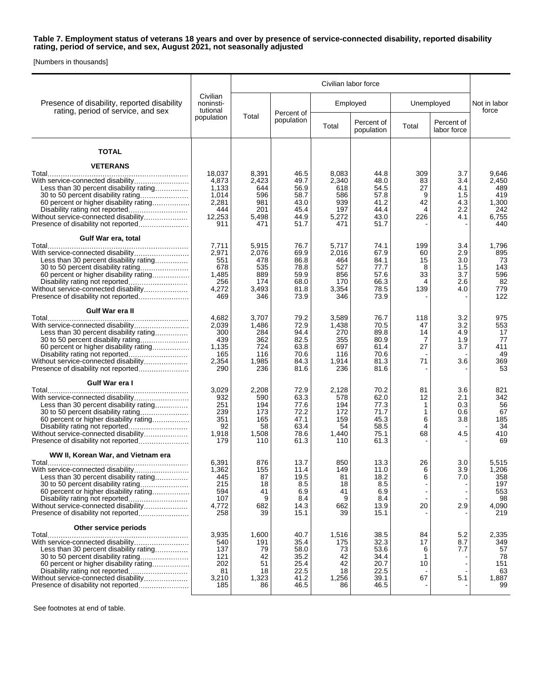**Table 7. Employment status of veterans 18 years and over by presence of service-connected disability, reported disability rating, period of service, and sex, August 2021, not seasonally adjusted**

[Numbers in thousands]

|                                                                                                                                                                                                                                                                                                 |                                                                    |                                                            |                                                              |                                                            | Civilian labor force                                         |                                        |                                               |                                                              |
|-------------------------------------------------------------------------------------------------------------------------------------------------------------------------------------------------------------------------------------------------------------------------------------------------|--------------------------------------------------------------------|------------------------------------------------------------|--------------------------------------------------------------|------------------------------------------------------------|--------------------------------------------------------------|----------------------------------------|-----------------------------------------------|--------------------------------------------------------------|
| Presence of disability, reported disability<br>rating, period of service, and sex                                                                                                                                                                                                               | Civilian<br>noninsti-<br>tutional                                  |                                                            |                                                              |                                                            | Employed                                                     |                                        | Unemployed                                    | Not in labor<br>force                                        |
|                                                                                                                                                                                                                                                                                                 | population                                                         | Total                                                      | Percent of<br>population                                     | Total                                                      | Percent of<br>population                                     | Total                                  | Percent of<br>labor force                     |                                                              |
| <b>TOTAL</b>                                                                                                                                                                                                                                                                                    |                                                                    |                                                            |                                                              |                                                            |                                                              |                                        |                                               |                                                              |
| <b>VETERANS</b><br>With service-connected disability<br>Less than 30 percent disability rating<br>30 to 50 percent disability rating<br>60 percent or higher disability rating<br>Disability rating not reported<br>Without service-connected disability<br>Presence of disability not reported | 18,037<br>4,873<br>1,133<br>1,014<br>2,281<br>444<br>12,253<br>911 | 8,391<br>2,423<br>644<br>596<br>981<br>201<br>5,498<br>471 | 46.5<br>49.7<br>56.9<br>58.7<br>43.0<br>45.4<br>44.9<br>51.7 | 8,083<br>2,340<br>618<br>586<br>939<br>197<br>5,272<br>471 | 44.8<br>48.0<br>54.5<br>57.8<br>41.2<br>44.4<br>43.0<br>51.7 | 309<br>83<br>27<br>9<br>42<br>4<br>226 | 3.7<br>3.4<br>4.1<br>1.5<br>4.3<br>2.2<br>4.1 | 9,646<br>2,450<br>489<br>419<br>1,300<br>242<br>6,755<br>440 |
| Gulf War era, total                                                                                                                                                                                                                                                                             |                                                                    |                                                            |                                                              |                                                            |                                                              |                                        |                                               |                                                              |
| With service-connected disability<br>Less than 30 percent disability rating<br>30 to 50 percent disability rating<br>60 percent or higher disability rating<br>Disability rating not reported<br>Without service-connected disability<br>Presence of disability not reported                    | 7,711<br>2,971<br>551<br>678<br>1,485<br>256<br>4,272<br>469       | 5,915<br>2,076<br>478<br>535<br>889<br>174<br>3,493<br>346 | 76.7<br>69.9<br>86.8<br>78.8<br>59.9<br>68.0<br>81.8<br>73.9 | 5,717<br>2,016<br>464<br>527<br>856<br>170<br>3,354<br>346 | 74.1<br>67.9<br>84.1<br>77.7<br>57.6<br>66.3<br>78.5<br>73.9 | 199<br>60<br>15<br>8<br>33<br>4<br>139 | 3.4<br>2.9<br>3.0<br>1.5<br>3.7<br>2.6<br>4.0 | 1,796<br>895<br>73<br>143<br>596<br>82<br>779<br>122         |
| Gulf War era II                                                                                                                                                                                                                                                                                 |                                                                    |                                                            |                                                              |                                                            |                                                              |                                        |                                               |                                                              |
| With service-connected disability<br>Less than 30 percent disability rating<br>30 to 50 percent disability rating<br>60 percent or higher disability rating<br>Disability rating not reported<br>Without service-connected disability<br>Presence of disability not reported                    | 4,682<br>2,039<br>300<br>439<br>1,135<br>165<br>2,354<br>290       | 3,707<br>1,486<br>284<br>362<br>724<br>116<br>1,985<br>236 | 79.2<br>72.9<br>94.4<br>82.5<br>63.8<br>70.6<br>84.3<br>81.6 | 3,589<br>1,438<br>270<br>355<br>697<br>116<br>1,914<br>236 | 76.7<br>70.5<br>89.8<br>80.9<br>61.4<br>70.6<br>81.3<br>81.6 | 118<br>47<br>14<br>7<br>27<br>71       | 3.2<br>3.2<br>4.9<br>1.9<br>3.7<br>3.6        | 975<br>553<br>17<br>77<br>411<br>49<br>369<br>53             |
| Gulf War era I                                                                                                                                                                                                                                                                                  |                                                                    |                                                            |                                                              |                                                            |                                                              |                                        |                                               |                                                              |
| With service-connected disability<br>Less than 30 percent disability rating<br>30 to 50 percent disability rating<br>60 percent or higher disability rating<br>Disability rating not reported<br>Without service-connected disability<br>Presence of disability not reported                    | 3,029<br>932<br>251<br>239<br>351<br>92<br>1,918<br>179            | 2,208<br>590<br>194<br>173<br>165<br>58<br>1,508<br>110    | 72.9<br>63.3<br>77.6<br>72.2<br>47.1<br>63.4<br>78.6<br>61.3 | 2,128<br>578<br>194<br>172<br>159<br>54<br>1,440<br>110    | 70.2<br>62.0<br>77.3<br>71.7<br>45.3<br>58.5<br>75.1<br>61.3 | 81<br>12<br>-1<br>1<br>6<br>4<br>68    | 3.6<br>2.1<br>0.3<br>0.6<br>3.8<br>4.5        | 821<br>342<br>56<br>67<br>185<br>34<br>410<br>69             |
| WW II, Korean War, and Vietnam era                                                                                                                                                                                                                                                              |                                                                    |                                                            |                                                              |                                                            |                                                              |                                        |                                               |                                                              |
| With service-connected disability<br>Less than 30 percent disability rating<br>60 percent or higher disability rating<br>Disability rating not reported<br>Without service-connected disability<br>Presence of disability not reported                                                          | 6,391<br>1,362<br>445<br>215<br>594<br>107<br>4,772<br>258         | 876<br>155<br>87<br>18<br>41<br>9<br>682<br>39             | 13.7<br>11.4<br>19.5<br>8.5<br>6.9<br>8.4<br>14.3<br>15.1    | 850<br>149<br>81<br>18<br>41<br>9<br>662<br>39             | 13.3<br>11.0<br>18.2<br>8.5<br>6.9<br>8.4<br>13.9<br>15.1    | 26<br>6<br>6<br>20                     | 3.0<br>3.9<br>7.0<br>2.9                      | 5,515<br>1,206<br>358<br>197<br>553<br>98<br>4,090<br>219    |
| Other service periods                                                                                                                                                                                                                                                                           | 3,935                                                              | 1,600                                                      | 40.7                                                         | 1,516                                                      | 38.5                                                         | 84                                     | 5.2                                           | 2,335                                                        |
| With service-connected disability<br>Less than 30 percent disability rating<br>30 to 50 percent disability rating<br>60 percent or higher disability rating<br>Without service-connected disability<br>Presence of disability not reported                                                      | 540<br>137<br>121<br>202<br>81<br>3,210<br>185                     | 191<br>79<br>42<br>51<br>18<br>1,323<br>86                 | 35.4<br>58.0<br>35.2<br>25.4<br>22.5<br>41.2<br>46.5         | 175<br>73<br>42<br>42<br>18<br>1,256<br>86                 | 32.3<br>53.6<br>34.4<br>20.7<br>22.5<br>39.1<br>46.5         | 17<br>6<br>1<br>10<br>67               | 8.7<br>7.7<br>5.1                             | 349<br>57<br>78<br>151<br>63<br>1,887<br>99                  |

See footnotes at end of table.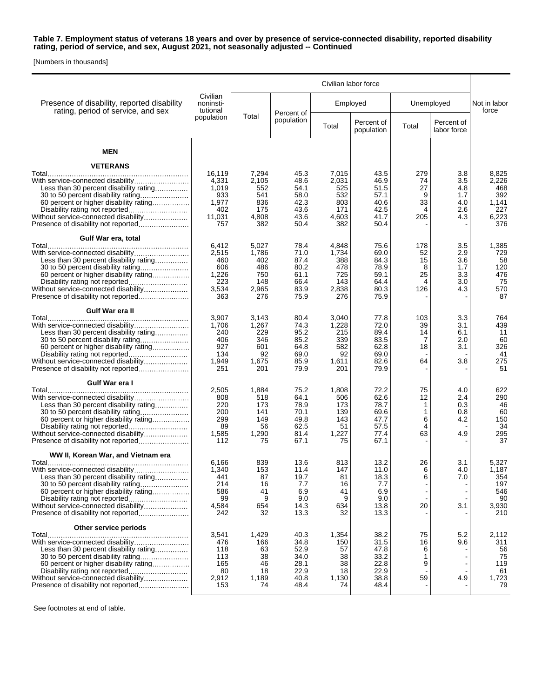**Table 7. Employment status of veterans 18 years and over by presence of service-connected disability, reported disability rating, period of service, and sex, August 2021, not seasonally adjusted -- Continued**

[Numbers in thousands]

|                                                                                                                                                                                                                                                                                                 |                                                                  |                                                            |                                                              | Civilian labor force                                       |                                                              |                                        |                                               |                                                              |  |
|-------------------------------------------------------------------------------------------------------------------------------------------------------------------------------------------------------------------------------------------------------------------------------------------------|------------------------------------------------------------------|------------------------------------------------------------|--------------------------------------------------------------|------------------------------------------------------------|--------------------------------------------------------------|----------------------------------------|-----------------------------------------------|--------------------------------------------------------------|--|
| Presence of disability, reported disability<br>rating, period of service, and sex                                                                                                                                                                                                               | Civilian<br>noninsti-<br>tutional                                |                                                            |                                                              |                                                            | Employed                                                     |                                        | Unemployed                                    | Not in labor<br>force                                        |  |
|                                                                                                                                                                                                                                                                                                 | population                                                       | Total                                                      | Percent of<br>population                                     | Total                                                      | Percent of<br>population                                     | Total                                  | Percent of<br>labor force                     |                                                              |  |
| MEN                                                                                                                                                                                                                                                                                             |                                                                  |                                                            |                                                              |                                                            |                                                              |                                        |                                               |                                                              |  |
| <b>VETERANS</b><br>With service-connected disability<br>Less than 30 percent disability rating<br>30 to 50 percent disability rating<br>60 percent or higher disability rating<br>Disability rating not reported<br>Without service-connected disability<br>Presence of disability not reported | 16,119<br>4,331<br>1,019<br>933<br>1,977<br>402<br>11,031<br>757 | 7,294<br>2,105<br>552<br>541<br>836<br>175<br>4,808<br>382 | 45.3<br>48.6<br>54.1<br>58.0<br>42.3<br>43.6<br>43.6<br>50.4 | 7,015<br>2,031<br>525<br>532<br>803<br>171<br>4,603<br>382 | 43.5<br>46.9<br>51.5<br>57.1<br>40.6<br>42.5<br>41.7<br>50.4 | 279<br>74<br>27<br>9<br>33<br>4<br>205 | 3.8<br>3.5<br>4.8<br>1.7<br>4.0<br>2.6<br>4.3 | 8,825<br>2,226<br>468<br>392<br>1,141<br>227<br>6,223<br>376 |  |
| Gulf War era, total                                                                                                                                                                                                                                                                             |                                                                  |                                                            |                                                              |                                                            |                                                              |                                        |                                               |                                                              |  |
| With service-connected disability<br>Less than 30 percent disability rating<br>30 to 50 percent disability rating<br>60 percent or higher disability rating<br>Disability rating not reported<br>Without service-connected disability<br>Presence of disability not reported                    | 6,412<br>2,515<br>460<br>606<br>1,226<br>223<br>3,534<br>363     | 5,027<br>1,786<br>402<br>486<br>750<br>148<br>2,965<br>276 | 78.4<br>71.0<br>87.4<br>80.2<br>61.1<br>66.4<br>83.9<br>75.9 | 4,848<br>1,734<br>388<br>478<br>725<br>143<br>2,838<br>276 | 75.6<br>69.0<br>84.3<br>78.9<br>59.1<br>64.4<br>80.3<br>75.9 | 178<br>52<br>15<br>8<br>25<br>4<br>126 | 3.5<br>2.9<br>3.6<br>1.7<br>3.3<br>3.0<br>4.3 | 1,385<br>729<br>58<br>120<br>476<br>75<br>570<br>87          |  |
| Gulf War era II                                                                                                                                                                                                                                                                                 |                                                                  |                                                            |                                                              |                                                            |                                                              |                                        |                                               |                                                              |  |
| With service-connected disability<br>Less than 30 percent disability rating<br>30 to 50 percent disability rating<br>60 percent or higher disability rating<br>Disability rating not reported<br>Without service-connected disability<br>Presence of disability not reported                    | 3,907<br>1,706<br>240<br>406<br>927<br>134<br>1,949<br>251       | 3,143<br>1,267<br>229<br>346<br>601<br>92<br>1,675<br>201  | 80.4<br>74.3<br>95.2<br>85.2<br>64.8<br>69.0<br>85.9<br>79.9 | 3,040<br>1,228<br>215<br>339<br>582<br>92<br>1,611<br>201  | 77.8<br>72.0<br>89.4<br>83.5<br>62.8<br>69.0<br>82.6<br>79.9 | 103<br>39<br>14<br>7<br>18<br>64       | 3.3<br>3.1<br>6.1<br>2.0<br>3.1<br>3.8        | 764<br>439<br>11<br>60<br>326<br>41<br>275<br>51             |  |
| Gulf War era I                                                                                                                                                                                                                                                                                  |                                                                  |                                                            |                                                              |                                                            |                                                              |                                        |                                               |                                                              |  |
| With service-connected disability<br>Less than 30 percent disability rating<br>30 to 50 percent disability rating<br>60 percent or higher disability rating<br>Disability rating not reported<br>Without service-connected disability                                                           | 2,505<br>808<br>220<br>200<br>299<br>89<br>1,585<br>112          | 1,884<br>518<br>173<br>141<br>149<br>56<br>1,290<br>75     | 75.2<br>64.1<br>78.9<br>70.1<br>49.8<br>62.5<br>81.4<br>67.1 | 1,808<br>506<br>173<br>139<br>143<br>51<br>1,227<br>75     | 72.2<br>62.6<br>78.7<br>69.6<br>47.7<br>57.5<br>77.4<br>67.1 | 75<br>12<br>1<br>1<br>6<br>4<br>63     | 4.0<br>2.4<br>0.3<br>0.8<br>4.2<br>4.9        | 622<br>290<br>46<br>60<br>150<br>34<br>295<br>37             |  |
| WW II, Korean War, and Vietnam era                                                                                                                                                                                                                                                              |                                                                  |                                                            |                                                              |                                                            |                                                              |                                        |                                               |                                                              |  |
| With service-connected disability<br>Less than 30 percent disability rating<br>30 to 50 percent disability rating<br>60 percent or higher disability rating<br>Disability rating not reported<br>Without service-connected disability<br>Presence of disability not reported                    | 6,166<br>1,340<br>441<br>214<br>586<br>99<br>4,584<br>242        | 839<br>153<br>87<br>16<br>41<br>9<br>654<br>32             | 13.6<br>11.4<br>19.7<br>7.7<br>6.9<br>9.0<br>14.3<br>13.3    | 813<br>147<br>81<br>16<br>41<br>9<br>634<br>32             | 13.2<br>11.0<br>18.3<br>7.7<br>6.9<br>9.0<br>13.8<br>13.3    | 26<br>6<br>6<br>20                     | 3.1<br>4.0<br>7.0<br>3.1                      | 5,327<br>1,187<br>354<br>197<br>546<br>90<br>3,930<br>210    |  |
| Other service periods                                                                                                                                                                                                                                                                           | 3,541                                                            | 1,429                                                      | 40.3                                                         | 1,354                                                      | 38.2                                                         | 75                                     | 5.2                                           | 2,112                                                        |  |
| With service-connected disability<br>Less than 30 percent disability rating<br>30 to 50 percent disability rating<br>60 percent or higher disability rating<br>Disability rating not reported<br>Without service-connected disability<br>Presence of disability not reported                    | 476<br>118<br>113<br>165<br>80<br>2,912<br>153                   | 166<br>63<br>38<br>46<br>18<br>1,189<br>74                 | 34.8<br>52.9<br>34.0<br>28.1<br>22.9<br>40.8<br>48.4         | 150<br>57<br>38<br>38<br>18<br>1,130<br>74                 | 31.5<br>47.8<br>33.2<br>22.8<br>22.9<br>38.8<br>48.4         | 16<br>6<br>1<br>9<br>59                | 9.6<br>4.9                                    | 311<br>56<br>75<br>119<br>61<br>1,723<br>79                  |  |

See footnotes at end of table.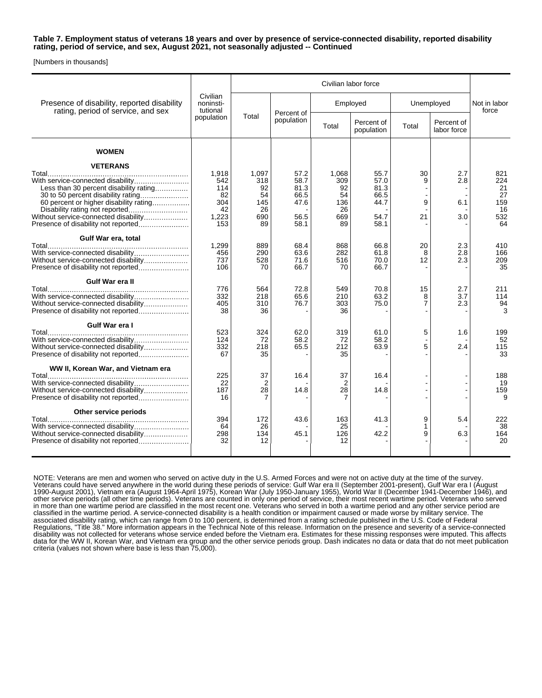**Table 7. Employment status of veterans 18 years and over by presence of service-connected disability, reported disability rating, period of service, and sex, August 2021, not seasonally adjusted -- Continued**

[Numbers in thousands]

|                                                                                                                                                                                                                                                                              |                                                        |                                                    |                                                      |                                                    | Civilian labor force                                 |                    |                                                                                                                                           |                                                  |
|------------------------------------------------------------------------------------------------------------------------------------------------------------------------------------------------------------------------------------------------------------------------------|--------------------------------------------------------|----------------------------------------------------|------------------------------------------------------|----------------------------------------------------|------------------------------------------------------|--------------------|-------------------------------------------------------------------------------------------------------------------------------------------|--------------------------------------------------|
| Presence of disability, reported disability<br>rating, period of service, and sex                                                                                                                                                                                            | Civilian<br>noninsti-<br>tutional                      |                                                    |                                                      |                                                    | Employed                                             |                    |                                                                                                                                           | Not in labor<br>force                            |
|                                                                                                                                                                                                                                                                              | population                                             | Total                                              | Percent of<br>population                             | Total                                              | Percent of<br>population                             | Total              | Unemployed<br>Percent of<br>labor force<br>2.7<br>2.8<br>6.1<br>3.0<br>2.3<br>2.8<br>2.3<br>2.7<br>3.7<br>2.3<br>1.6<br>2.4<br>5.4<br>6.3 |                                                  |
| <b>WOMEN</b>                                                                                                                                                                                                                                                                 |                                                        |                                                    |                                                      |                                                    |                                                      |                    |                                                                                                                                           |                                                  |
| <b>VETERANS</b>                                                                                                                                                                                                                                                              |                                                        |                                                    |                                                      |                                                    |                                                      |                    |                                                                                                                                           |                                                  |
| With service-connected disability<br>Less than 30 percent disability rating<br>30 to 50 percent disability rating<br>60 percent or higher disability rating<br>Disability rating not reported<br>Without service-connected disability<br>Presence of disability not reported | 1,918<br>542<br>114<br>82<br>304<br>42<br>1,223<br>153 | 1,097<br>318<br>92<br>54<br>145<br>26<br>690<br>89 | 57.2<br>58.7<br>81.3<br>66.5<br>47.6<br>56.5<br>58.1 | 1,068<br>309<br>92<br>54<br>136<br>26<br>669<br>89 | 55.7<br>57.0<br>81.3<br>66.5<br>44.7<br>54.7<br>58.1 | 30<br>9<br>9<br>21 |                                                                                                                                           | 821<br>224<br>21<br>27<br>159<br>16<br>532<br>64 |
| Gulf War era, total                                                                                                                                                                                                                                                          |                                                        |                                                    |                                                      |                                                    |                                                      |                    |                                                                                                                                           |                                                  |
| With service-connected disability<br>Without service-connected disability<br>Presence of disability not reported                                                                                                                                                             | 1,299<br>456<br>737<br>106                             | 889<br>290<br>528<br>70                            | 68.4<br>63.6<br>71.6<br>66.7                         | 868<br>282<br>516<br>70                            | 66.8<br>61.8<br>70.0<br>66.7                         | 20<br>8<br>12      |                                                                                                                                           | 410<br>166<br>209<br>35                          |
| Gulf War era II                                                                                                                                                                                                                                                              |                                                        |                                                    |                                                      |                                                    |                                                      |                    |                                                                                                                                           |                                                  |
| With service-connected disability<br>Without service-connected disability<br>Presence of disability not reported                                                                                                                                                             | 776<br>332<br>405<br>38                                | 564<br>218<br>310<br>36                            | 72.8<br>65.6<br>76.7                                 | 549<br>210<br>303<br>36                            | 70.8<br>63.2<br>75.0                                 | 15<br>8<br>7       |                                                                                                                                           | 211<br>114<br>94<br>3                            |
| Gulf War era I                                                                                                                                                                                                                                                               |                                                        |                                                    |                                                      |                                                    |                                                      |                    |                                                                                                                                           |                                                  |
| With service-connected disability<br>Without service-connected disability<br>Presence of disability not reported                                                                                                                                                             | 523<br>124<br>332<br>67                                | 324<br>72<br>218<br>35                             | 62.0<br>58.2<br>65.5                                 | 319<br>72<br>212<br>35                             | 61.0<br>58.2<br>63.9                                 | 5<br>5             |                                                                                                                                           | 199<br>52<br>115<br>33                           |
| WW II, Korean War, and Vietnam era                                                                                                                                                                                                                                           |                                                        |                                                    |                                                      |                                                    |                                                      |                    |                                                                                                                                           |                                                  |
| With service-connected disability<br>Without service-connected disability<br>Presence of disability not reported                                                                                                                                                             | 225<br>22<br>187<br>16                                 | 37<br>2<br>28                                      | 16.4<br>14.8                                         | 37<br>$\overline{2}$<br>28                         | 16.4<br>14.8                                         |                    |                                                                                                                                           | 188<br>19<br>159<br>9                            |
| Other service periods<br>With service-connected disability<br>Without service-connected disability<br>Presence of disability not reported                                                                                                                                    | 394<br>64<br>298<br>32                                 | 172<br>26<br>134<br>12                             | 43.6<br>45.1                                         | 163<br>25<br>126<br>12                             | 41.3<br>42.2                                         | 9<br>9             |                                                                                                                                           | 222<br>38<br>164<br>20                           |
|                                                                                                                                                                                                                                                                              |                                                        |                                                    |                                                      |                                                    |                                                      |                    |                                                                                                                                           |                                                  |

NOTE: Veterans are men and women who served on active duty in the U.S. Armed Forces and were not on active duty at the time of the survey. Veterans could have served anywhere in the world during these periods of service: Gulf War era II (September 2001-present), Gulf War era I (August 1990-August 2001), Vietnam era (August 1964-April 1975), Korean War (July 1950-January 1955), World War II (December 1941-December 1946), and other service periods (all other time periods). Veterans are counted in only one period of service, their most recent wartime period. Veterans who served in more than one wartime period are classified in the most recent one. Veterans who served in both a wartime period and any other service period are classified in the wartime period. A service-connected disability is a health condition or impairment caused or made worse by military service. The associated disability rating, which can range from 0 to 100 percent, is determined from a rating schedule published in the U.S. Code of Federal Regulations, "Title 38." More information appears in the Technical Note of this release. Information on the presence and severity of a service-connected disability was not collected for veterans whose service ended before the Vietnam era. Estimates for these missing responses were imputed. This affects data for the WW II, Korean War, and Vietnam era group and the other service periods group. Dash indicates no data or data that do not meet publication criteria (values not shown where base is less than 75,000).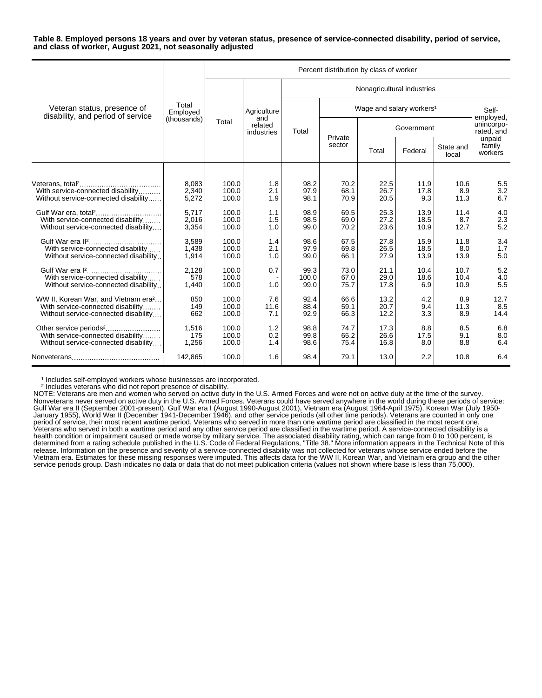**Table 8. Employed persons 18 years and over by veteran status, presence of service-connected disability, period of service, and class of worker, August 2021, not seasonally adjusted**

|                                                                                                                              |                         |                         | Percent distribution by class of worker |                            |                                      |                      |                                       |                      |                             |  |  |
|------------------------------------------------------------------------------------------------------------------------------|-------------------------|-------------------------|-----------------------------------------|----------------------------|--------------------------------------|----------------------|---------------------------------------|----------------------|-----------------------------|--|--|
|                                                                                                                              |                         |                         |                                         | Nonagricultural industries |                                      |                      |                                       |                      |                             |  |  |
| Veteran status, presence of<br>disability, and period of service                                                             | Total<br>Employed       |                         | Agriculture                             |                            | Wage and salary workers <sup>1</sup> | Self-                |                                       |                      |                             |  |  |
|                                                                                                                              | (thousands)             | Total                   | and<br>related<br>industries            | Total                      |                                      | Government           | employed,<br>unincorpo-<br>rated, and |                      |                             |  |  |
|                                                                                                                              |                         |                         |                                         |                            | Private<br>sector                    | Total                | Federal                               | State and<br>local   | unpaid<br>family<br>workers |  |  |
| With service-connected disability<br>Without service-connected disability                                                    | 8,083<br>2,340<br>5,272 | 100.0<br>100.0<br>100.0 | 1.8<br>2.1<br>1.9                       | 98.2<br>97.9<br>98.1       | 70.2<br>68.1<br>70.9                 | 22.5<br>26.7<br>20.5 | 11.9<br>17.8<br>9.3                   | 10.6<br>8.9<br>11.3  | 5.5<br>3.2<br>6.7           |  |  |
| Gulf War era, total <sup>2</sup><br>With service-connected disability<br>Without service-connected disability                | 5,717<br>2,016<br>3,354 | 100.0<br>100.0<br>100.0 | 1.1<br>1.5<br>1.0                       | 98.9<br>98.5<br>99.0       | 69.5<br>69.0<br>70.2                 | 25.3<br>27.2<br>23.6 | 13.9<br>18.5<br>10.9                  | 11.4<br>8.7<br>12.7  | 4.0<br>2.3<br>5.2           |  |  |
| Gulf War era II <sup>2</sup><br>With service-connected disability<br>Without service-connected disability                    | 3,589<br>1,438<br>1,914 | 100.0<br>100.0<br>100.0 | 1.4<br>2.1<br>1.0                       | 98.6<br>97.9<br>99.0       | 67.5<br>69.8<br>66.1                 | 27.8<br>26.5<br>27.9 | 15.9<br>18.5<br>13.9                  | 11.8<br>8.0<br>13.9  | 3.4<br>1.7<br>5.0           |  |  |
| With service-connected disability<br>Without service-connected disability                                                    | 2.128<br>578<br>1,440   | 100.0<br>100.0<br>100.0 | 0.7<br>1.0                              | 99.3<br>100.0<br>99.0      | 73.0<br>67.0<br>75.7                 | 21.1<br>29.0<br>17.8 | 10.4<br>18.6<br>6.9                   | 10.7<br>10.4<br>10.9 | 5.2<br>4.0<br>5.5           |  |  |
| WW II, Korean War, and Vietnam era <sup>2</sup><br>With service-connected disability<br>Without service-connected disability | 850<br>149<br>662       | 100.0<br>100.0<br>100.0 | 7.6<br>11.6<br>7.1                      | 92.4<br>88.4<br>92.9       | 66.6<br>59.1<br>66.3                 | 13.2<br>20.7<br>12.2 | 4.2<br>9.4<br>3.3                     | 8.9<br>11.3<br>8.9   | 12.7<br>8.5<br>14.4         |  |  |
| Other service periods <sup>2</sup><br>With service-connected disability<br>Without service-connected disability              | 1,516<br>175<br>1,256   | 100.0<br>100.0<br>100.0 | 1.2<br>0.2<br>1.4                       | 98.8<br>99.8<br>98.6       | 74.7<br>65.2<br>75.4                 | 17.3<br>26.6<br>16.8 | 8.8<br>17.5<br>8.0                    | 8.5<br>9.1<br>8.8    | 6.8<br>8.0<br>6.4           |  |  |
|                                                                                                                              | 142.865                 | 100.0                   | 1.6                                     | 98.4                       | 79.1                                 | 13.0                 | 2.2                                   | 10.8                 | 6.4                         |  |  |

<sup>1</sup> Includes self-employed workers whose businesses are incorporated.

² Includes veterans who did not report presence of disability.

NOTE: Veterans are men and women who served on active duty in the U.S. Armed Forces and were not on active duty at the time of the survey. Nonveterans never served on active duty in the U.S. Armed Forces. Veterans could have served anywhere in the world during these periods of service: Gulf War era II (September 2001-present), Gulf War era I (August 1990-August 2001), Vietnam era (August 1964-April 1975), Korean War (July 1950- January 1955), World War II (December 1941-December 1946), and other service periods (all other time periods). Veterans are counted in only one period of service, their most recent wartime period. Veterans who served in more than one wartime period are classified in the most recent one. Veterans who served in both a wartime period and any other service period are classified in the wartime period. A service-connected disability is a health condition or impairment caused or made worse by military service. The associated disability rating, which can range from 0 to 100 percent, is determined from a rating schedule published in the U.S. Code of Federal Regulations, "Title 38." More information appears in the Technical Note of this release. Information on the presence and severity of a service-connected disability was not collected for veterans whose service ended before the Vietnam era. Estimates for these missing responses were imputed. This affects data for the WW II, Korean War, and Vietnam era group and the other Vietnam era. Estimates for these missing responses were imputed. This affects data for the WW II, Korean War, and Vietnam era group and the other service periods group. Dash indicates no data or data that do not meet publi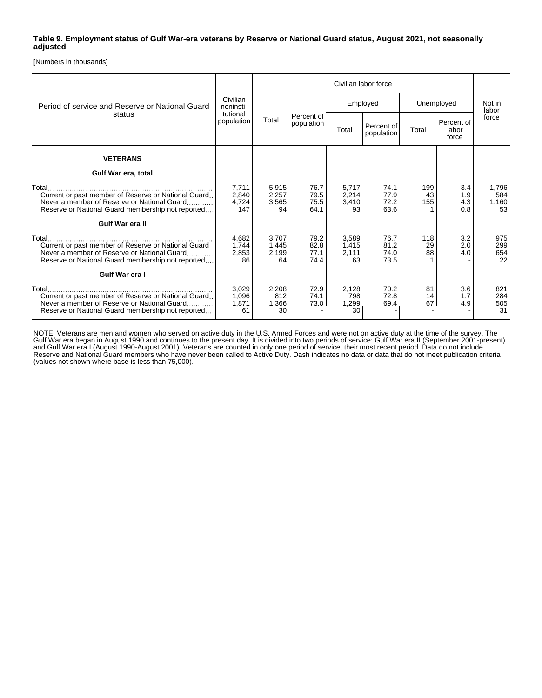#### **Table 9. Employment status of Gulf War-era veterans by Reserve or National Guard status, August 2021, not seasonally adjusted**

[Numbers in thousands]

|                                                                                                                                                         |                                | Civilian labor force          |                              |       |                                                                                                                                                                                                                                                                                                                                                                                                                     |       |  |                             |  |  |
|---------------------------------------------------------------------------------------------------------------------------------------------------------|--------------------------------|-------------------------------|------------------------------|-------|---------------------------------------------------------------------------------------------------------------------------------------------------------------------------------------------------------------------------------------------------------------------------------------------------------------------------------------------------------------------------------------------------------------------|-------|--|-----------------------------|--|--|
| Period of service and Reserve or National Guard                                                                                                         | Civilian<br>noninsti-          |                               |                              |       |                                                                                                                                                                                                                                                                                                                                                                                                                     |       |  | Not in<br>labor             |  |  |
| status                                                                                                                                                  | tutional<br>population         | Total                         | Percent of<br>population     | Total | Unemployed<br>Employed<br>Percent of<br>Percent of<br>Total<br>labor<br>population<br>force<br>5,717<br>74.1<br>3.4<br>199<br>77.9<br>1.9<br>2,214<br>43<br>72.2<br>155<br>4.3<br>3,410<br>63.6<br>0.8<br>93<br>76.7<br>118<br>3,589<br>3.2<br>81.2<br>1,415<br>2.0<br>29<br>74.0<br>88<br>4.0<br>2.111<br>63<br>73.5<br>70.2<br>3.6<br>2,128<br>81<br>72.8<br>14<br>1.7<br>798<br>67<br>1,299<br>69.4<br>4.9<br>30 | force |  |                             |  |  |
| <b>VETERANS</b>                                                                                                                                         |                                |                               |                              |       |                                                                                                                                                                                                                                                                                                                                                                                                                     |       |  |                             |  |  |
| Gulf War era, total                                                                                                                                     |                                |                               |                              |       |                                                                                                                                                                                                                                                                                                                                                                                                                     |       |  |                             |  |  |
| Current or past member of Reserve or National Guard<br>Never a member of Reserve or National Guard<br>Reserve or National Guard membership not reported | 7,711<br>2,840<br>4,724<br>147 | 5,915<br>2,257<br>3,565<br>94 | 76.7<br>79.5<br>75.5<br>64.1 |       |                                                                                                                                                                                                                                                                                                                                                                                                                     |       |  | 1,796<br>584<br>1,160<br>53 |  |  |
| Gulf War era II                                                                                                                                         |                                |                               |                              |       |                                                                                                                                                                                                                                                                                                                                                                                                                     |       |  |                             |  |  |
| Never a member of Reserve or National Guard<br>Reserve or National Guard membership not reported                                                        | 4.682<br>1,744<br>2,853<br>86  | 3.707<br>1,445<br>2,199<br>64 | 79.2<br>82.8<br>77.1<br>74.4 |       |                                                                                                                                                                                                                                                                                                                                                                                                                     |       |  | 975<br>299<br>654<br>22     |  |  |
| Gulf War era I                                                                                                                                          |                                |                               |                              |       |                                                                                                                                                                                                                                                                                                                                                                                                                     |       |  |                             |  |  |
| Never a member of Reserve or National Guard<br>Reserve or National Guard membership not reported                                                        | 3,029<br>1,096<br>1,871<br>61  | 2,208<br>812<br>1,366<br>30   | 72.9<br>74.1<br>73.0         |       |                                                                                                                                                                                                                                                                                                                                                                                                                     |       |  | 821<br>284<br>505<br>31     |  |  |

NOTE: Veterans are men and women who served on active duty in the U.S. Armed Forces and were not on active duty at the time of the survey. The Gulf War era began in August 1990 and continues to the present day. It is divided into two periods of service: Gulf War era II (September 2001-present) and Gulf War era I (August 1990-August 2001). Veterans are counted in only one period of service, their most recent period. Data do not include Reserve and National Guard members who have never been called to Active Duty. Dash indicates no data or data that do not meet publication criteria (values not shown where base is less than 75,000).